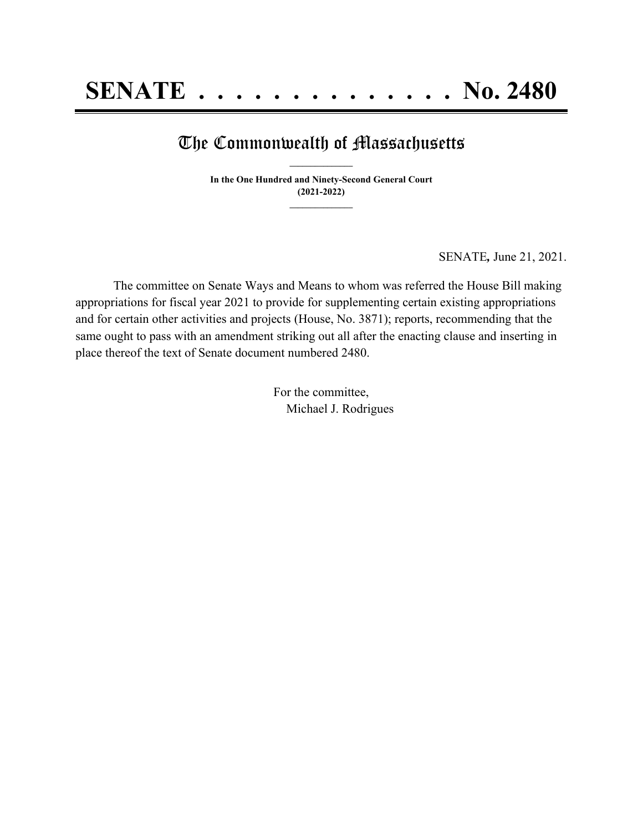### The Commonwealth of Massachusetts **\_\_\_\_\_\_\_\_\_\_\_\_\_\_\_**

**In the One Hundred and Ninety-Second General Court (2021-2022) \_\_\_\_\_\_\_\_\_\_\_\_\_\_\_**

SENATE*,* June 21, 2021.

The committee on Senate Ways and Means to whom was referred the House Bill making appropriations for fiscal year 2021 to provide for supplementing certain existing appropriations and for certain other activities and projects (House, No. 3871); reports, recommending that the same ought to pass with an amendment striking out all after the enacting clause and inserting in place thereof the text of Senate document numbered 2480.

> For the committee, Michael J. Rodrigues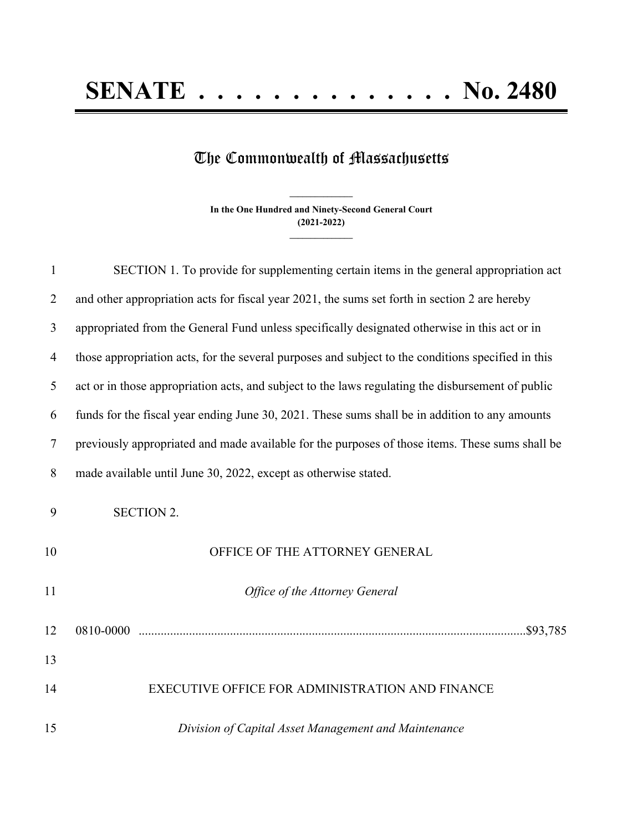# **SENATE . . . . . . . . . . . . . . No. 2480**

## The Commonwealth of Massachusetts

**In the One Hundred and Ninety-Second General Court (2021-2022) \_\_\_\_\_\_\_\_\_\_\_\_\_\_\_**

**\_\_\_\_\_\_\_\_\_\_\_\_\_\_\_**

| $\mathbf{1}$   | SECTION 1. To provide for supplementing certain items in the general appropriation act             |
|----------------|----------------------------------------------------------------------------------------------------|
| $\overline{2}$ | and other appropriation acts for fiscal year 2021, the sums set forth in section 2 are hereby      |
| 3              | appropriated from the General Fund unless specifically designated otherwise in this act or in      |
| $\overline{4}$ | those appropriation acts, for the several purposes and subject to the conditions specified in this |
| 5              | act or in those appropriation acts, and subject to the laws regulating the disbursement of public  |
| 6              | funds for the fiscal year ending June 30, 2021. These sums shall be in addition to any amounts     |
| $\tau$         | previously appropriated and made available for the purposes of those items. These sums shall be    |
| 8              | made available until June 30, 2022, except as otherwise stated.                                    |
| 9              | <b>SECTION 2.</b>                                                                                  |
| 10             | OFFICE OF THE ATTORNEY GENERAL                                                                     |
| 11             | Office of the Attorney General                                                                     |
| 12             |                                                                                                    |
| 13             |                                                                                                    |
| 14             | EXECUTIVE OFFICE FOR ADMINISTRATION AND FINANCE                                                    |
| 15             | Division of Capital Asset Management and Maintenance                                               |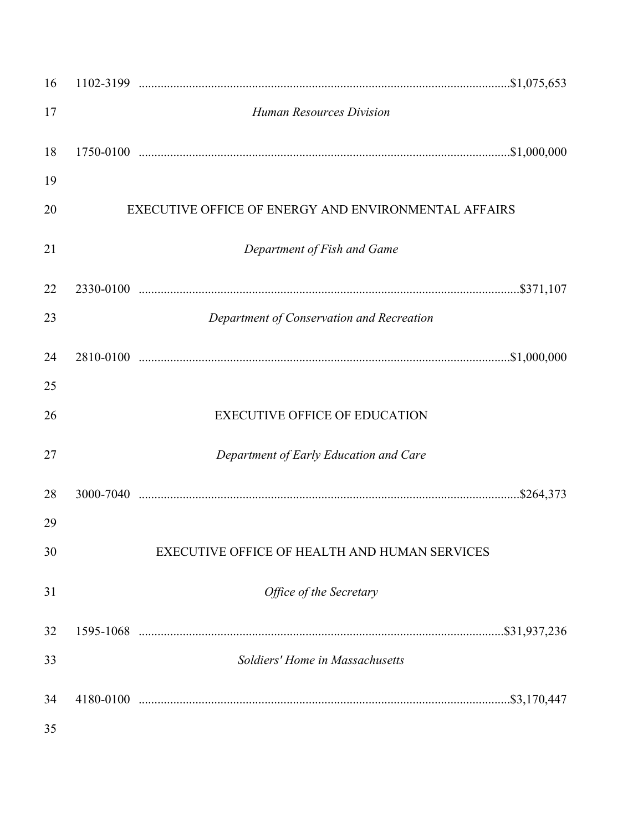| 16 |                                                      |
|----|------------------------------------------------------|
| 17 | <b>Human Resources Division</b>                      |
| 18 |                                                      |
| 19 |                                                      |
| 20 | EXECUTIVE OFFICE OF ENERGY AND ENVIRONMENTAL AFFAIRS |
| 21 | Department of Fish and Game                          |
| 22 |                                                      |
| 23 | Department of Conservation and Recreation            |
| 24 |                                                      |
| 25 |                                                      |
| 26 | <b>EXECUTIVE OFFICE OF EDUCATION</b>                 |
| 27 | Department of Early Education and Care               |
| 28 |                                                      |
| 29 |                                                      |
| 30 | EXECUTIVE OFFICE OF HEALTH AND HUMAN SERVICES        |
| 31 | Office of the Secretary                              |
| 32 |                                                      |
| 33 | Soldiers' Home in Massachusetts                      |
| 34 |                                                      |
| 35 |                                                      |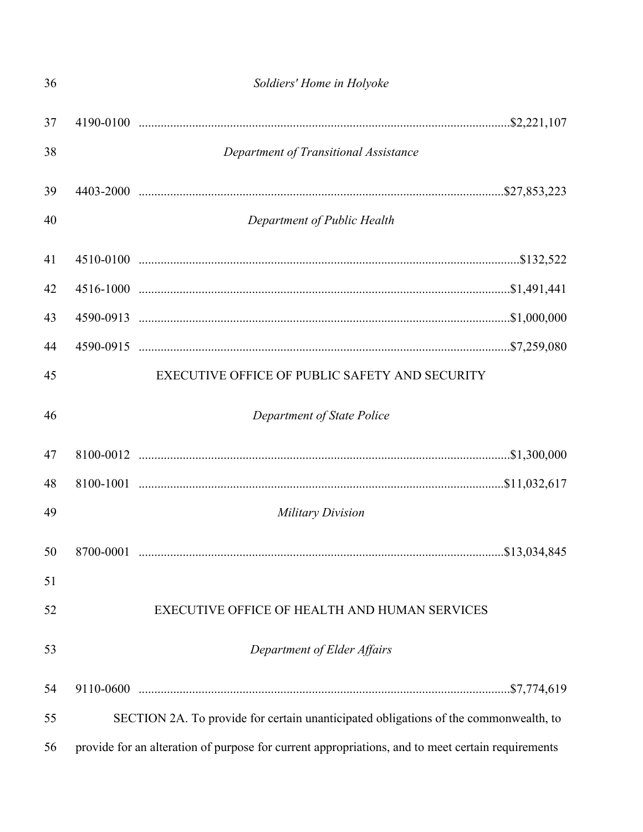| 36 | Soldiers' Home in Holyoke                                                                         |
|----|---------------------------------------------------------------------------------------------------|
| 37 |                                                                                                   |
| 38 | Department of Transitional Assistance                                                             |
| 39 |                                                                                                   |
| 40 | Department of Public Health                                                                       |
| 41 |                                                                                                   |
| 42 |                                                                                                   |
| 43 |                                                                                                   |
| 44 |                                                                                                   |
| 45 | EXECUTIVE OFFICE OF PUBLIC SAFETY AND SECURITY                                                    |
| 46 | Department of State Police                                                                        |
| 47 |                                                                                                   |
| 48 |                                                                                                   |
| 49 | <b>Military Division</b>                                                                          |
| 50 |                                                                                                   |
| 51 |                                                                                                   |
| 52 | EXECUTIVE OFFICE OF HEALTH AND HUMAN SERVICES                                                     |
| 53 | Department of Elder Affairs                                                                       |
| 54 |                                                                                                   |
| 55 | SECTION 2A. To provide for certain unanticipated obligations of the commonwealth, to              |
| 56 | provide for an alteration of purpose for current appropriations, and to meet certain requirements |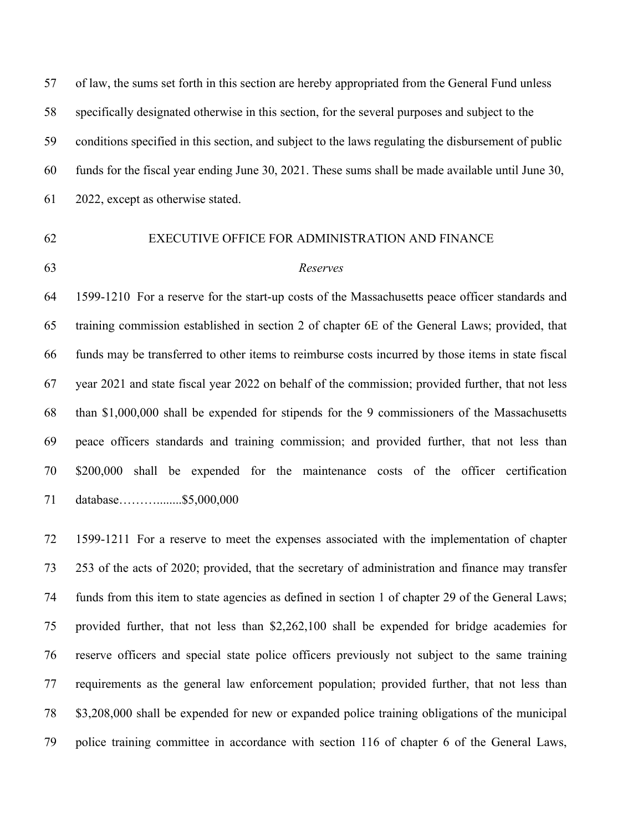of law, the sums set forth in this section are hereby appropriated from the General Fund unless specifically designated otherwise in this section, for the several purposes and subject to the conditions specified in this section, and subject to the laws regulating the disbursement of public funds for the fiscal year ending June 30, 2021. These sums shall be made available until June 30, 2022, except as otherwise stated.

#### EXECUTIVE OFFICE FOR ADMINISTRATION AND FINANCE

#### *Reserves*

 1599-1210 For a reserve for the start-up costs of the Massachusetts peace officer standards and training commission established in section 2 of chapter 6E of the General Laws; provided, that funds may be transferred to other items to reimburse costs incurred by those items in state fiscal year 2021 and state fiscal year 2022 on behalf of the commission; provided further, that not less than \$1,000,000 shall be expended for stipends for the 9 commissioners of the Massachusetts peace officers standards and training commission; and provided further, that not less than \$200,000 shall be expended for the maintenance costs of the officer certification database………........\$5,000,000

 1599-1211 For a reserve to meet the expenses associated with the implementation of chapter 253 of the acts of 2020; provided, that the secretary of administration and finance may transfer funds from this item to state agencies as defined in section 1 of chapter 29 of the General Laws; provided further, that not less than \$2,262,100 shall be expended for bridge academies for reserve officers and special state police officers previously not subject to the same training requirements as the general law enforcement population; provided further, that not less than \$3,208,000 shall be expended for new or expanded police training obligations of the municipal police training committee in accordance with section 116 of chapter 6 of the General Laws,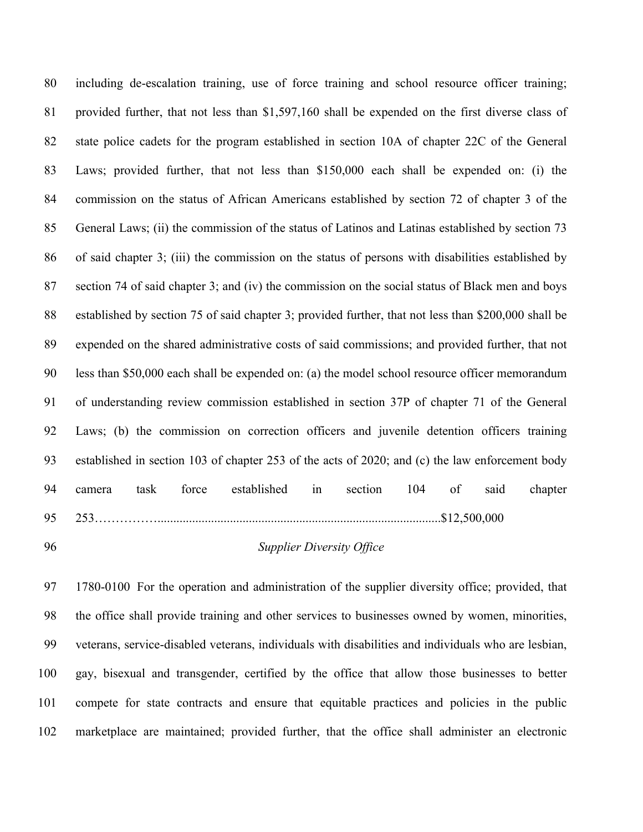including de-escalation training, use of force training and school resource officer training; provided further, that not less than \$1,597,160 shall be expended on the first diverse class of state police cadets for the program established in section 10A of chapter 22C of the General Laws; provided further, that not less than \$150,000 each shall be expended on: (i) the commission on the status of African Americans established by section 72 of chapter 3 of the General Laws; (ii) the commission of the status of Latinos and Latinas established by section 73 of said chapter 3; (iii) the commission on the status of persons with disabilities established by section 74 of said chapter 3; and (iv) the commission on the social status of Black men and boys established by section 75 of said chapter 3; provided further, that not less than \$200,000 shall be expended on the shared administrative costs of said commissions; and provided further, that not less than \$50,000 each shall be expended on: (a) the model school resource officer memorandum of understanding review commission established in section 37P of chapter 71 of the General Laws; (b) the commission on correction officers and juvenile detention officers training established in section 103 of chapter 253 of the acts of 2020; and (c) the law enforcement body camera task force established in section 104 of said chapter 253……………..........................................................................................\$12,500,000

#### *Supplier Diversity Office*

 1780-0100 For the operation and administration of the supplier diversity office; provided, that the office shall provide training and other services to businesses owned by women, minorities, veterans, service-disabled veterans, individuals with disabilities and individuals who are lesbian, gay, bisexual and transgender, certified by the office that allow those businesses to better compete for state contracts and ensure that equitable practices and policies in the public marketplace are maintained; provided further, that the office shall administer an electronic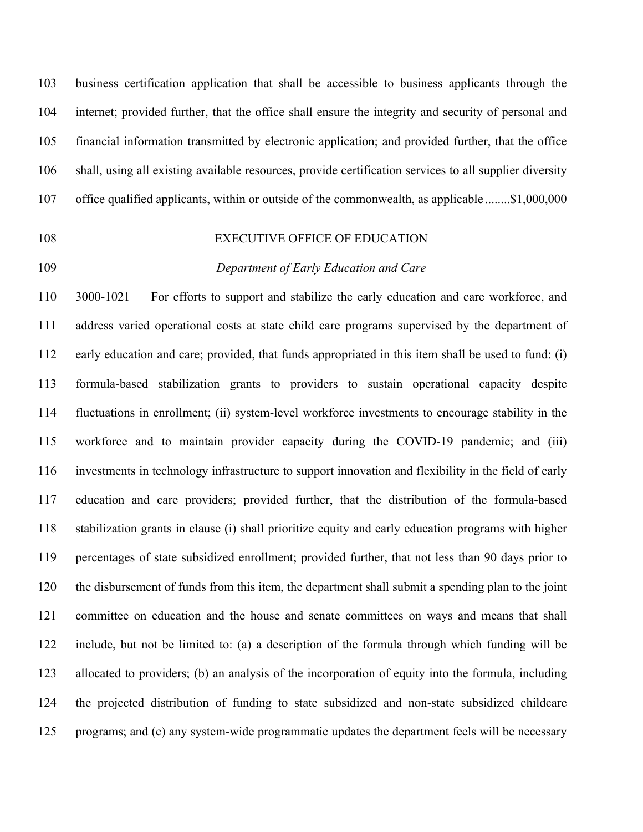business certification application that shall be accessible to business applicants through the internet; provided further, that the office shall ensure the integrity and security of personal and financial information transmitted by electronic application; and provided further, that the office shall, using all existing available resources, provide certification services to all supplier diversity office qualified applicants, within or outside of the commonwealth, as applicable ........\$1,000,000

#### 108 EXECUTIVE OFFICE OF EDUCATION

#### *Department of Early Education and Care*

 3000-1021 For efforts to support and stabilize the early education and care workforce, and address varied operational costs at state child care programs supervised by the department of early education and care; provided, that funds appropriated in this item shall be used to fund: (i) formula-based stabilization grants to providers to sustain operational capacity despite fluctuations in enrollment; (ii) system-level workforce investments to encourage stability in the workforce and to maintain provider capacity during the COVID-19 pandemic; and (iii) investments in technology infrastructure to support innovation and flexibility in the field of early education and care providers; provided further, that the distribution of the formula-based stabilization grants in clause (i) shall prioritize equity and early education programs with higher percentages of state subsidized enrollment; provided further, that not less than 90 days prior to the disbursement of funds from this item, the department shall submit a spending plan to the joint committee on education and the house and senate committees on ways and means that shall include, but not be limited to: (a) a description of the formula through which funding will be allocated to providers; (b) an analysis of the incorporation of equity into the formula, including the projected distribution of funding to state subsidized and non-state subsidized childcare programs; and (c) any system-wide programmatic updates the department feels will be necessary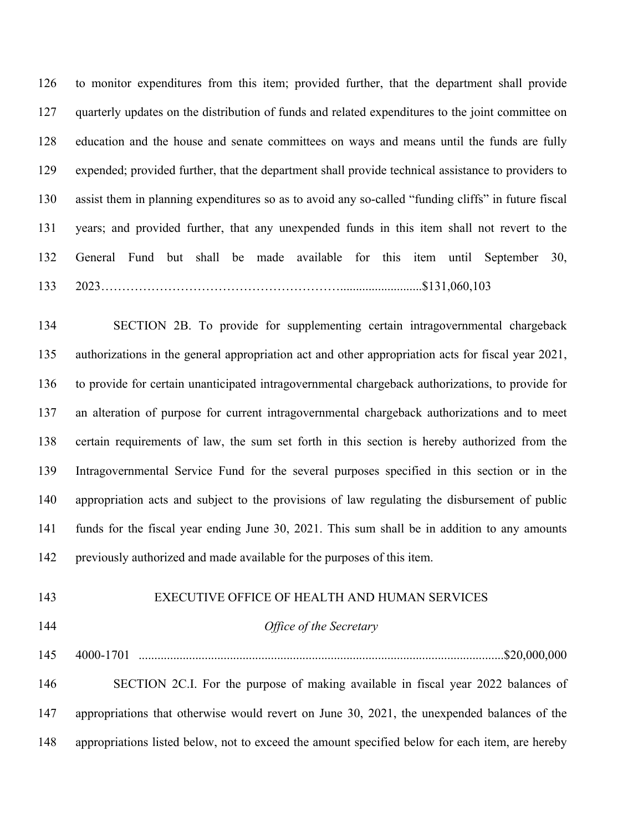to monitor expenditures from this item; provided further, that the department shall provide quarterly updates on the distribution of funds and related expenditures to the joint committee on education and the house and senate committees on ways and means until the funds are fully expended; provided further, that the department shall provide technical assistance to providers to assist them in planning expenditures so as to avoid any so-called "funding cliffs" in future fiscal years; and provided further, that any unexpended funds in this item shall not revert to the General Fund but shall be made available for this item until September 30, 2023…………………………………………………..........................\$131,060,103

 SECTION 2B. To provide for supplementing certain intragovernmental chargeback authorizations in the general appropriation act and other appropriation acts for fiscal year 2021, to provide for certain unanticipated intragovernmental chargeback authorizations, to provide for an alteration of purpose for current intragovernmental chargeback authorizations and to meet certain requirements of law, the sum set forth in this section is hereby authorized from the Intragovernmental Service Fund for the several purposes specified in this section or in the appropriation acts and subject to the provisions of law regulating the disbursement of public funds for the fiscal year ending June 30, 2021. This sum shall be in addition to any amounts previously authorized and made available for the purposes of this item.

#### EXECUTIVE OFFICE OF HEALTH AND HUMAN SERVICES

#### *Office of the Secretary*

4000-1701 ....................................................................................................................\$20,000,000

 SECTION 2C.I. For the purpose of making available in fiscal year 2022 balances of appropriations that otherwise would revert on June 30, 2021, the unexpended balances of the appropriations listed below, not to exceed the amount specified below for each item, are hereby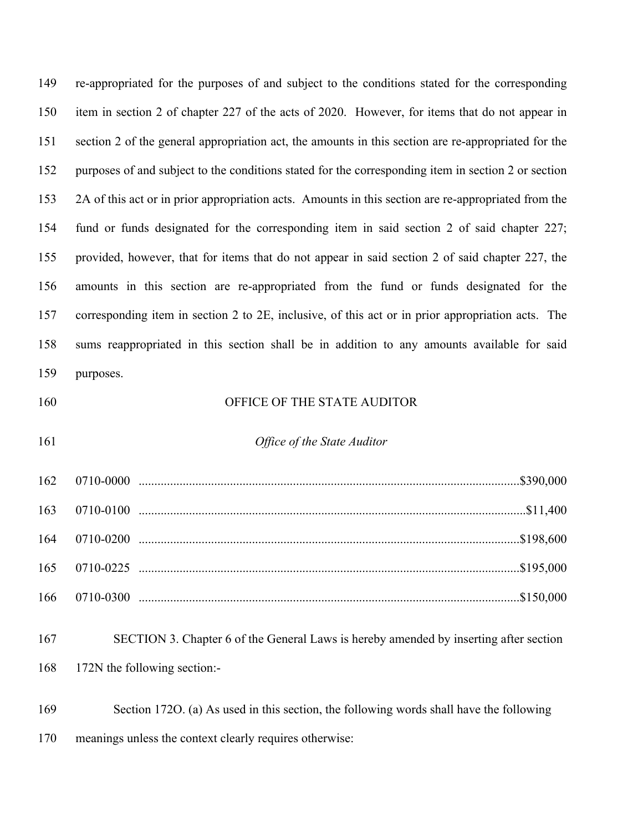| 149 | re-appropriated for the purposes of and subject to the conditions stated for the corresponding      |
|-----|-----------------------------------------------------------------------------------------------------|
| 150 | item in section 2 of chapter 227 of the acts of 2020. However, for items that do not appear in      |
| 151 | section 2 of the general appropriation act, the amounts in this section are re-appropriated for the |
| 152 | purposes of and subject to the conditions stated for the corresponding item in section 2 or section |
| 153 | 2A of this act or in prior appropriation acts. Amounts in this section are re-appropriated from the |
| 154 | fund or funds designated for the corresponding item in said section 2 of said chapter 227;          |
| 155 | provided, however, that for items that do not appear in said section 2 of said chapter 227, the     |
| 156 | amounts in this section are re-appropriated from the fund or funds designated for the               |
| 157 | corresponding item in section 2 to 2E, inclusive, of this act or in prior appropriation acts. The   |
| 158 | sums reappropriated in this section shall be in addition to any amounts available for said          |
| 159 | purposes.                                                                                           |
| 160 | OFFICE OF THE STATE AUDITOR                                                                         |
| 161 | Office of the State Auditor                                                                         |
| 162 |                                                                                                     |
| 163 |                                                                                                     |
| 164 |                                                                                                     |
| 165 |                                                                                                     |
| 166 |                                                                                                     |
| 167 | SECTION 3. Chapter 6 of the General Laws is hereby amended by inserting after section               |

- 172N the following section:-
- Section 172O. (a) As used in this section, the following words shall have the following meanings unless the context clearly requires otherwise: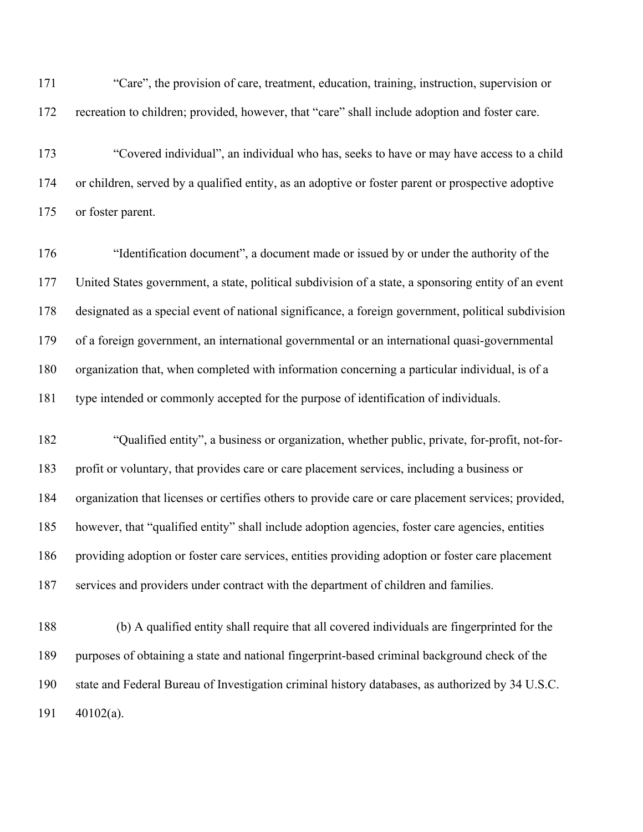"Care", the provision of care, treatment, education, training, instruction, supervision or recreation to children; provided, however, that "care" shall include adoption and foster care.

 "Covered individual", an individual who has, seeks to have or may have access to a child or children, served by a qualified entity, as an adoptive or foster parent or prospective adoptive or foster parent.

 "Identification document", a document made or issued by or under the authority of the United States government, a state, political subdivision of a state, a sponsoring entity of an event designated as a special event of national significance, a foreign government, political subdivision of a foreign government, an international governmental or an international quasi-governmental organization that, when completed with information concerning a particular individual, is of a type intended or commonly accepted for the purpose of identification of individuals.

 "Qualified entity", a business or organization, whether public, private, for-profit, not-for- profit or voluntary, that provides care or care placement services, including a business or organization that licenses or certifies others to provide care or care placement services; provided, however, that "qualified entity" shall include adoption agencies, foster care agencies, entities providing adoption or foster care services, entities providing adoption or foster care placement services and providers under contract with the department of children and families.

 (b) A qualified entity shall require that all covered individuals are fingerprinted for the purposes of obtaining a state and national fingerprint-based criminal background check of the state and Federal Bureau of Investigation criminal history databases, as authorized by 34 U.S.C. 40102(a).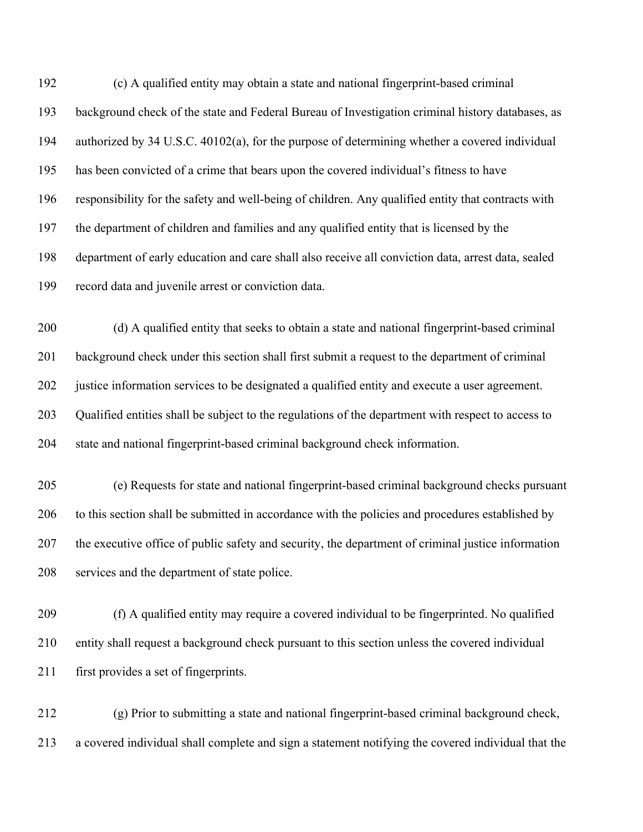(c) A qualified entity may obtain a state and national fingerprint-based criminal background check of the state and Federal Bureau of Investigation criminal history databases, as authorized by 34 U.S.C. 40102(a), for the purpose of determining whether a covered individual has been convicted of a crime that bears upon the covered individual's fitness to have responsibility for the safety and well-being of children. Any qualified entity that contracts with the department of children and families and any qualified entity that is licensed by the department of early education and care shall also receive all conviction data, arrest data, sealed record data and juvenile arrest or conviction data.

 (d) A qualified entity that seeks to obtain a state and national fingerprint-based criminal background check under this section shall first submit a request to the department of criminal justice information services to be designated a qualified entity and execute a user agreement. Qualified entities shall be subject to the regulations of the department with respect to access to state and national fingerprint-based criminal background check information.

 (e) Requests for state and national fingerprint-based criminal background checks pursuant to this section shall be submitted in accordance with the policies and procedures established by the executive office of public safety and security, the department of criminal justice information services and the department of state police.

 (f) A qualified entity may require a covered individual to be fingerprinted. No qualified entity shall request a background check pursuant to this section unless the covered individual first provides a set of fingerprints.

 (g) Prior to submitting a state and national fingerprint-based criminal background check, a covered individual shall complete and sign a statement notifying the covered individual that the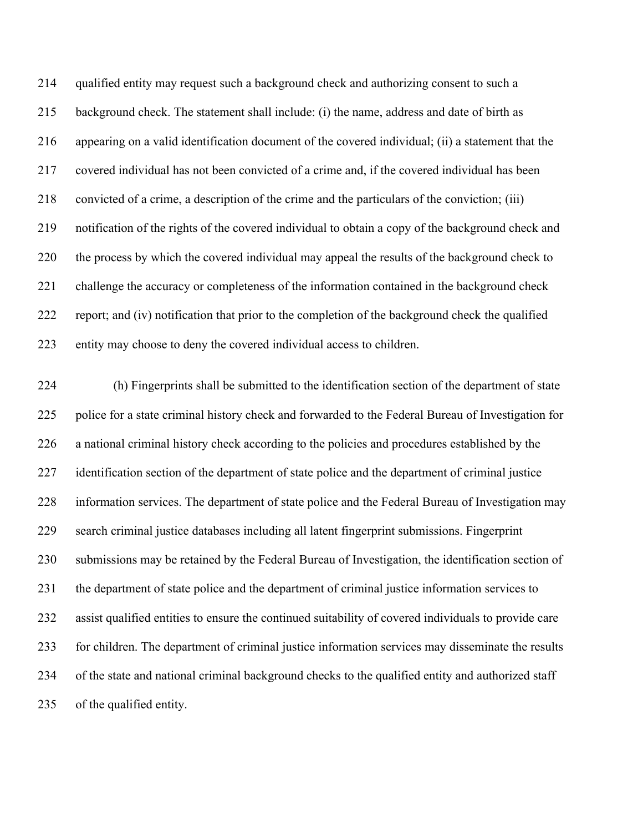qualified entity may request such a background check and authorizing consent to such a background check. The statement shall include: (i) the name, address and date of birth as appearing on a valid identification document of the covered individual; (ii) a statement that the covered individual has not been convicted of a crime and, if the covered individual has been convicted of a crime, a description of the crime and the particulars of the conviction; (iii) notification of the rights of the covered individual to obtain a copy of the background check and the process by which the covered individual may appeal the results of the background check to challenge the accuracy or completeness of the information contained in the background check report; and (iv) notification that prior to the completion of the background check the qualified entity may choose to deny the covered individual access to children.

 (h) Fingerprints shall be submitted to the identification section of the department of state police for a state criminal history check and forwarded to the Federal Bureau of Investigation for a national criminal history check according to the policies and procedures established by the 227 identification section of the department of state police and the department of criminal justice information services. The department of state police and the Federal Bureau of Investigation may search criminal justice databases including all latent fingerprint submissions. Fingerprint submissions may be retained by the Federal Bureau of Investigation, the identification section of the department of state police and the department of criminal justice information services to assist qualified entities to ensure the continued suitability of covered individuals to provide care for children. The department of criminal justice information services may disseminate the results of the state and national criminal background checks to the qualified entity and authorized staff of the qualified entity.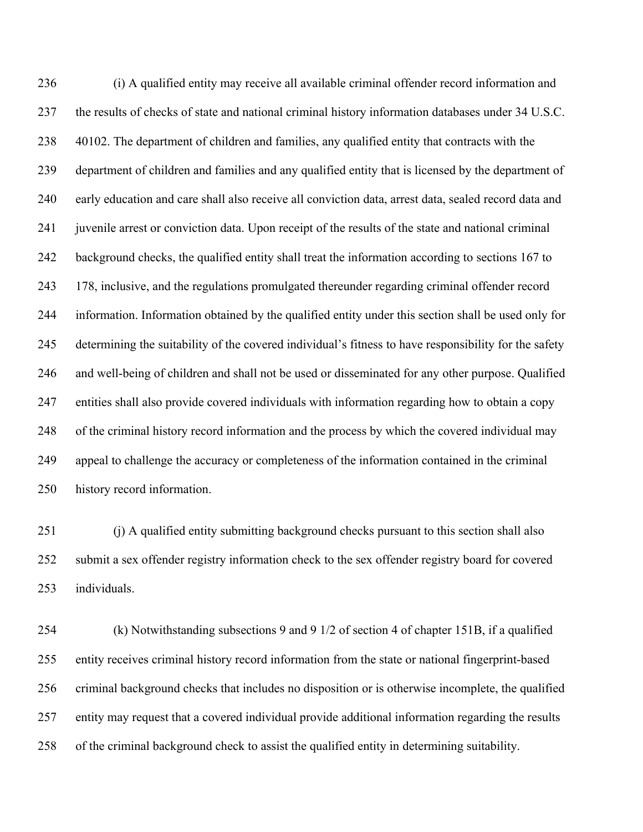(i) A qualified entity may receive all available criminal offender record information and the results of checks of state and national criminal history information databases under 34 U.S.C. 40102. The department of children and families, any qualified entity that contracts with the department of children and families and any qualified entity that is licensed by the department of early education and care shall also receive all conviction data, arrest data, sealed record data and juvenile arrest or conviction data. Upon receipt of the results of the state and national criminal background checks, the qualified entity shall treat the information according to sections 167 to 178, inclusive, and the regulations promulgated thereunder regarding criminal offender record information. Information obtained by the qualified entity under this section shall be used only for determining the suitability of the covered individual's fitness to have responsibility for the safety and well-being of children and shall not be used or disseminated for any other purpose. Qualified entities shall also provide covered individuals with information regarding how to obtain a copy of the criminal history record information and the process by which the covered individual may appeal to challenge the accuracy or completeness of the information contained in the criminal history record information.

251 (i) A qualified entity submitting background checks pursuant to this section shall also submit a sex offender registry information check to the sex offender registry board for covered individuals.

 (k) Notwithstanding subsections 9 and 9 1/2 of section 4 of chapter 151B, if a qualified entity receives criminal history record information from the state or national fingerprint-based criminal background checks that includes no disposition or is otherwise incomplete, the qualified entity may request that a covered individual provide additional information regarding the results of the criminal background check to assist the qualified entity in determining suitability.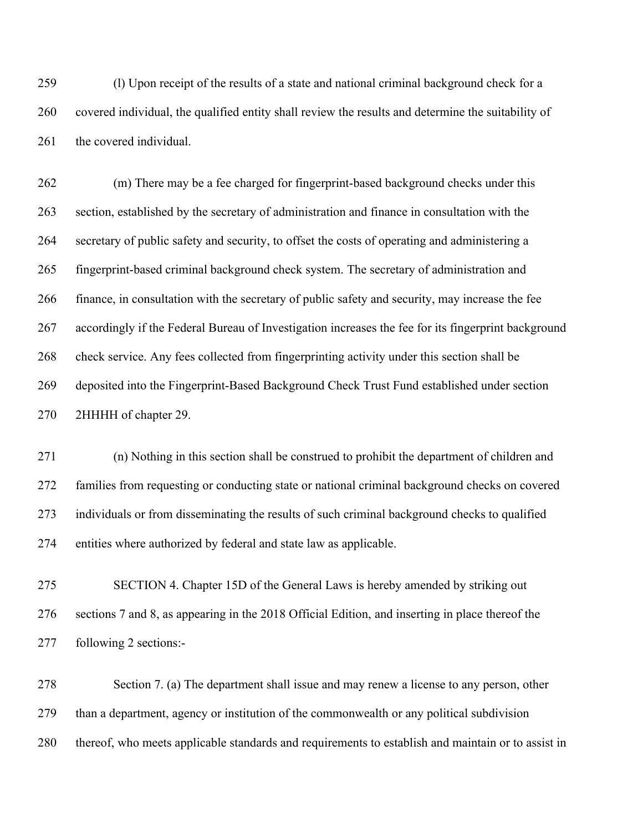(l) Upon receipt of the results of a state and national criminal background check for a covered individual, the qualified entity shall review the results and determine the suitability of 261 the covered individual.

 (m) There may be a fee charged for fingerprint-based background checks under this section, established by the secretary of administration and finance in consultation with the secretary of public safety and security, to offset the costs of operating and administering a fingerprint-based criminal background check system. The secretary of administration and finance, in consultation with the secretary of public safety and security, may increase the fee accordingly if the Federal Bureau of Investigation increases the fee for its fingerprint background 268 check service. Any fees collected from fingerprinting activity under this section shall be deposited into the Fingerprint-Based Background Check Trust Fund established under section 2HHHH of chapter 29.

 (n) Nothing in this section shall be construed to prohibit the department of children and families from requesting or conducting state or national criminal background checks on covered individuals or from disseminating the results of such criminal background checks to qualified entities where authorized by federal and state law as applicable.

 SECTION 4. Chapter 15D of the General Laws is hereby amended by striking out sections 7 and 8, as appearing in the 2018 Official Edition, and inserting in place thereof the following 2 sections:-

 Section 7. (a) The department shall issue and may renew a license to any person, other than a department, agency or institution of the commonwealth or any political subdivision thereof, who meets applicable standards and requirements to establish and maintain or to assist in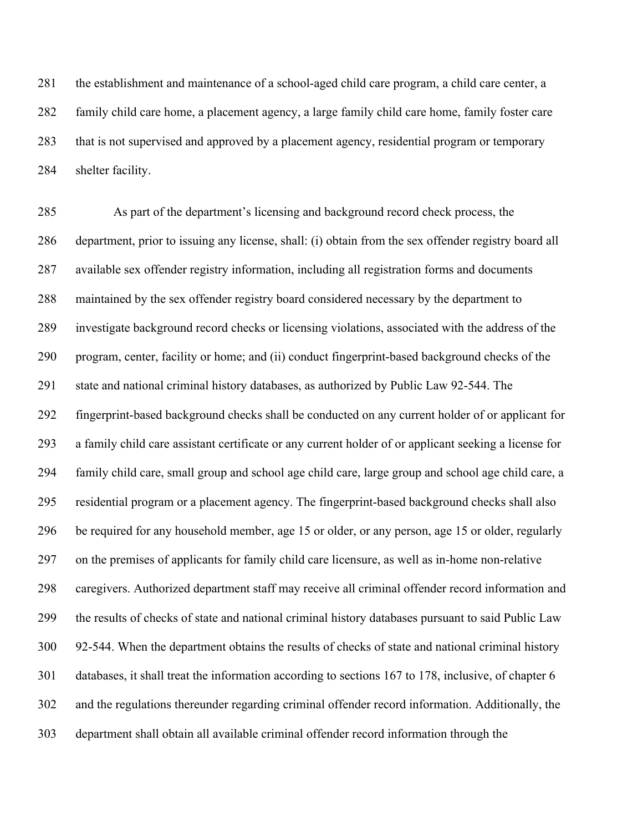281 the establishment and maintenance of a school-aged child care program, a child care center, a family child care home, a placement agency, a large family child care home, family foster care that is not supervised and approved by a placement agency, residential program or temporary shelter facility.

 As part of the department's licensing and background record check process, the department, prior to issuing any license, shall: (i) obtain from the sex offender registry board all available sex offender registry information, including all registration forms and documents maintained by the sex offender registry board considered necessary by the department to investigate background record checks or licensing violations, associated with the address of the program, center, facility or home; and (ii) conduct fingerprint-based background checks of the state and national criminal history databases, as authorized by Public Law 92-544. The fingerprint-based background checks shall be conducted on any current holder of or applicant for a family child care assistant certificate or any current holder of or applicant seeking a license for family child care, small group and school age child care, large group and school age child care, a residential program or a placement agency. The fingerprint-based background checks shall also be required for any household member, age 15 or older, or any person, age 15 or older, regularly on the premises of applicants for family child care licensure, as well as in-home non-relative caregivers. Authorized department staff may receive all criminal offender record information and the results of checks of state and national criminal history databases pursuant to said Public Law 92-544. When the department obtains the results of checks of state and national criminal history databases, it shall treat the information according to sections 167 to 178, inclusive, of chapter 6 and the regulations thereunder regarding criminal offender record information. Additionally, the department shall obtain all available criminal offender record information through the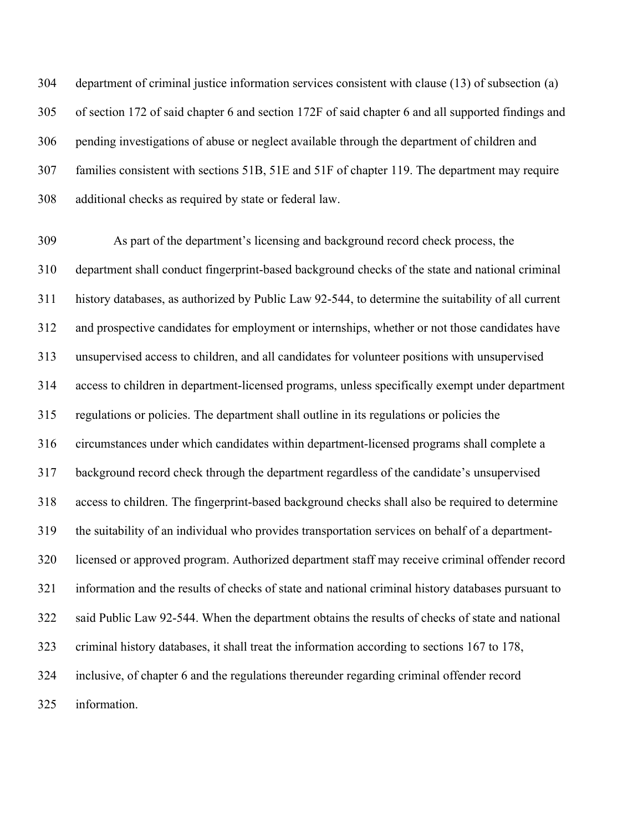department of criminal justice information services consistent with clause (13) of subsection (a) of section 172 of said chapter 6 and section 172F of said chapter 6 and all supported findings and pending investigations of abuse or neglect available through the department of children and families consistent with sections 51B, 51E and 51F of chapter 119. The department may require additional checks as required by state or federal law.

 As part of the department's licensing and background record check process, the department shall conduct fingerprint-based background checks of the state and national criminal history databases, as authorized by Public Law 92-544, to determine the suitability of all current and prospective candidates for employment or internships, whether or not those candidates have unsupervised access to children, and all candidates for volunteer positions with unsupervised access to children in department-licensed programs, unless specifically exempt under department regulations or policies. The department shall outline in its regulations or policies the circumstances under which candidates within department-licensed programs shall complete a background record check through the department regardless of the candidate's unsupervised access to children. The fingerprint-based background checks shall also be required to determine the suitability of an individual who provides transportation services on behalf of a department- licensed or approved program. Authorized department staff may receive criminal offender record information and the results of checks of state and national criminal history databases pursuant to said Public Law 92-544. When the department obtains the results of checks of state and national criminal history databases, it shall treat the information according to sections 167 to 178, inclusive, of chapter 6 and the regulations thereunder regarding criminal offender record information.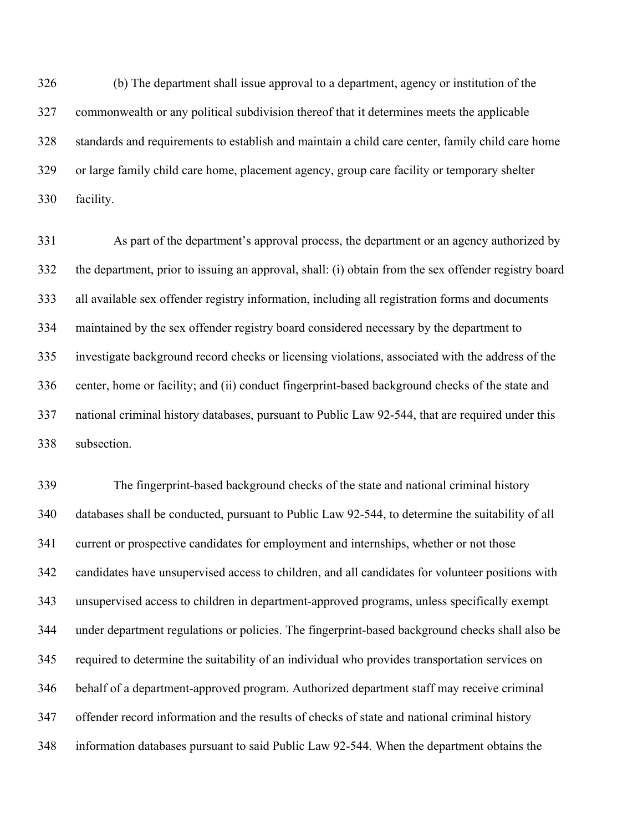(b) The department shall issue approval to a department, agency or institution of the commonwealth or any political subdivision thereof that it determines meets the applicable standards and requirements to establish and maintain a child care center, family child care home or large family child care home, placement agency, group care facility or temporary shelter facility.

 As part of the department's approval process, the department or an agency authorized by the department, prior to issuing an approval, shall: (i) obtain from the sex offender registry board all available sex offender registry information, including all registration forms and documents maintained by the sex offender registry board considered necessary by the department to investigate background record checks or licensing violations, associated with the address of the center, home or facility; and (ii) conduct fingerprint-based background checks of the state and national criminal history databases, pursuant to Public Law 92-544, that are required under this subsection.

 The fingerprint-based background checks of the state and national criminal history databases shall be conducted, pursuant to Public Law 92-544, to determine the suitability of all current or prospective candidates for employment and internships, whether or not those candidates have unsupervised access to children, and all candidates for volunteer positions with unsupervised access to children in department-approved programs, unless specifically exempt under department regulations or policies. The fingerprint-based background checks shall also be required to determine the suitability of an individual who provides transportation services on behalf of a department-approved program. Authorized department staff may receive criminal offender record information and the results of checks of state and national criminal history information databases pursuant to said Public Law 92-544. When the department obtains the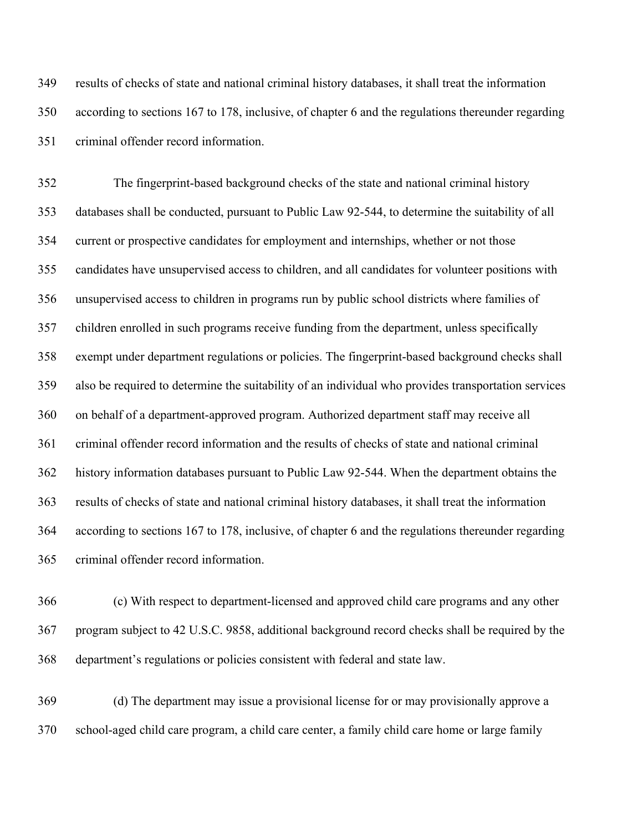results of checks of state and national criminal history databases, it shall treat the information according to sections 167 to 178, inclusive, of chapter 6 and the regulations thereunder regarding criminal offender record information.

 The fingerprint-based background checks of the state and national criminal history databases shall be conducted, pursuant to Public Law 92-544, to determine the suitability of all current or prospective candidates for employment and internships, whether or not those candidates have unsupervised access to children, and all candidates for volunteer positions with unsupervised access to children in programs run by public school districts where families of children enrolled in such programs receive funding from the department, unless specifically exempt under department regulations or policies. The fingerprint-based background checks shall also be required to determine the suitability of an individual who provides transportation services on behalf of a department-approved program. Authorized department staff may receive all criminal offender record information and the results of checks of state and national criminal history information databases pursuant to Public Law 92-544. When the department obtains the results of checks of state and national criminal history databases, it shall treat the information according to sections 167 to 178, inclusive, of chapter 6 and the regulations thereunder regarding criminal offender record information.

 (c) With respect to department-licensed and approved child care programs and any other program subject to 42 U.S.C. 9858, additional background record checks shall be required by the department's regulations or policies consistent with federal and state law.

 (d) The department may issue a provisional license for or may provisionally approve a school-aged child care program, a child care center, a family child care home or large family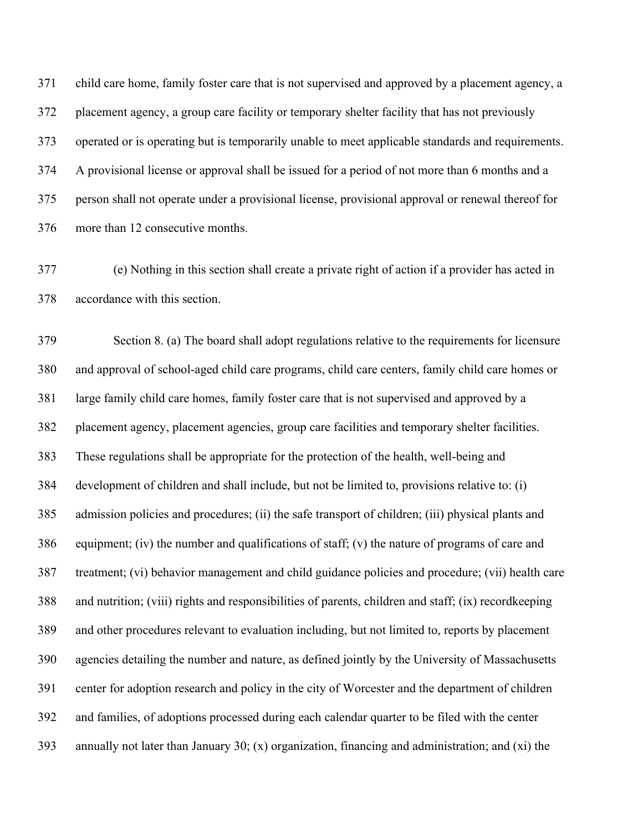child care home, family foster care that is not supervised and approved by a placement agency, a placement agency, a group care facility or temporary shelter facility that has not previously operated or is operating but is temporarily unable to meet applicable standards and requirements. A provisional license or approval shall be issued for a period of not more than 6 months and a person shall not operate under a provisional license, provisional approval or renewal thereof for more than 12 consecutive months.

 (e) Nothing in this section shall create a private right of action if a provider has acted in accordance with this section.

 Section 8. (a) The board shall adopt regulations relative to the requirements for licensure and approval of school-aged child care programs, child care centers, family child care homes or large family child care homes, family foster care that is not supervised and approved by a placement agency, placement agencies, group care facilities and temporary shelter facilities. These regulations shall be appropriate for the protection of the health, well-being and development of children and shall include, but not be limited to, provisions relative to: (i) admission policies and procedures; (ii) the safe transport of children; (iii) physical plants and equipment; (iv) the number and qualifications of staff; (v) the nature of programs of care and treatment; (vi) behavior management and child guidance policies and procedure; (vii) health care and nutrition; (viii) rights and responsibilities of parents, children and staff; (ix) recordkeeping and other procedures relevant to evaluation including, but not limited to, reports by placement agencies detailing the number and nature, as defined jointly by the University of Massachusetts center for adoption research and policy in the city of Worcester and the department of children and families, of adoptions processed during each calendar quarter to be filed with the center 393 annually not later than January 30; (x) organization, financing and administration; and (xi) the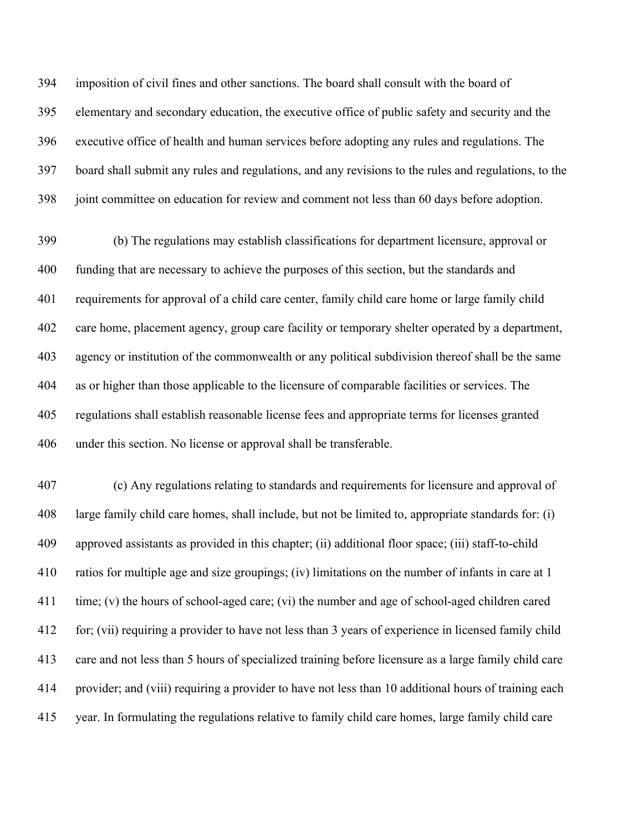imposition of civil fines and other sanctions. The board shall consult with the board of elementary and secondary education, the executive office of public safety and security and the executive office of health and human services before adopting any rules and regulations. The board shall submit any rules and regulations, and any revisions to the rules and regulations, to the joint committee on education for review and comment not less than 60 days before adoption.

 (b) The regulations may establish classifications for department licensure, approval or funding that are necessary to achieve the purposes of this section, but the standards and requirements for approval of a child care center, family child care home or large family child care home, placement agency, group care facility or temporary shelter operated by a department, agency or institution of the commonwealth or any political subdivision thereof shall be the same as or higher than those applicable to the licensure of comparable facilities or services. The regulations shall establish reasonable license fees and appropriate terms for licenses granted under this section. No license or approval shall be transferable.

 (c) Any regulations relating to standards and requirements for licensure and approval of large family child care homes, shall include, but not be limited to, appropriate standards for: (i) approved assistants as provided in this chapter; (ii) additional floor space; (iii) staff-to-child ratios for multiple age and size groupings; (iv) limitations on the number of infants in care at 1 time; (v) the hours of school-aged care; (vi) the number and age of school-aged children cared for; (vii) requiring a provider to have not less than 3 years of experience in licensed family child care and not less than 5 hours of specialized training before licensure as a large family child care provider; and (viii) requiring a provider to have not less than 10 additional hours of training each year. In formulating the regulations relative to family child care homes, large family child care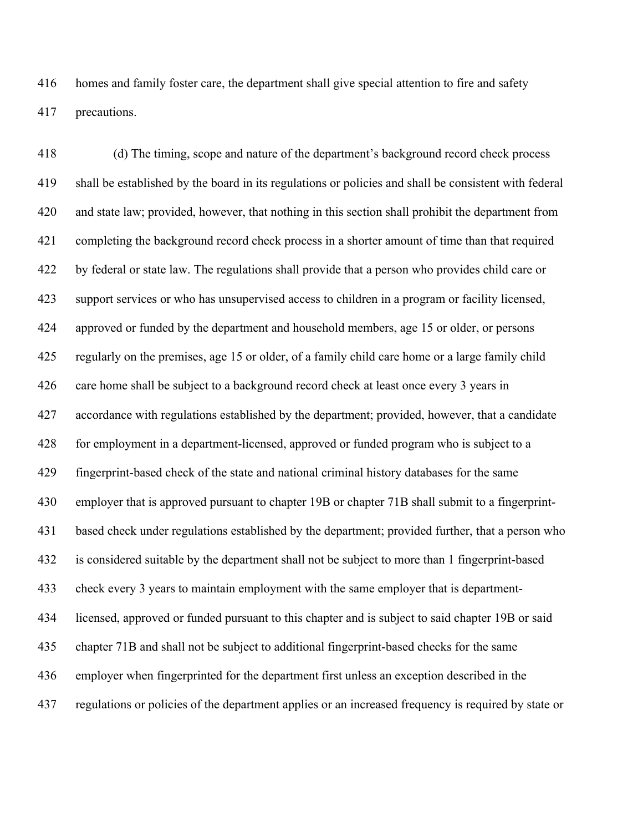homes and family foster care, the department shall give special attention to fire and safety precautions.

 (d) The timing, scope and nature of the department's background record check process shall be established by the board in its regulations or policies and shall be consistent with federal and state law; provided, however, that nothing in this section shall prohibit the department from completing the background record check process in a shorter amount of time than that required by federal or state law. The regulations shall provide that a person who provides child care or support services or who has unsupervised access to children in a program or facility licensed, approved or funded by the department and household members, age 15 or older, or persons regularly on the premises, age 15 or older, of a family child care home or a large family child care home shall be subject to a background record check at least once every 3 years in accordance with regulations established by the department; provided, however, that a candidate for employment in a department-licensed, approved or funded program who is subject to a fingerprint-based check of the state and national criminal history databases for the same 430 employer that is approved pursuant to chapter 19B or chapter 71B shall submit to a fingerprint- based check under regulations established by the department; provided further, that a person who is considered suitable by the department shall not be subject to more than 1 fingerprint-based check every 3 years to maintain employment with the same employer that is department- licensed, approved or funded pursuant to this chapter and is subject to said chapter 19B or said chapter 71B and shall not be subject to additional fingerprint-based checks for the same employer when fingerprinted for the department first unless an exception described in the regulations or policies of the department applies or an increased frequency is required by state or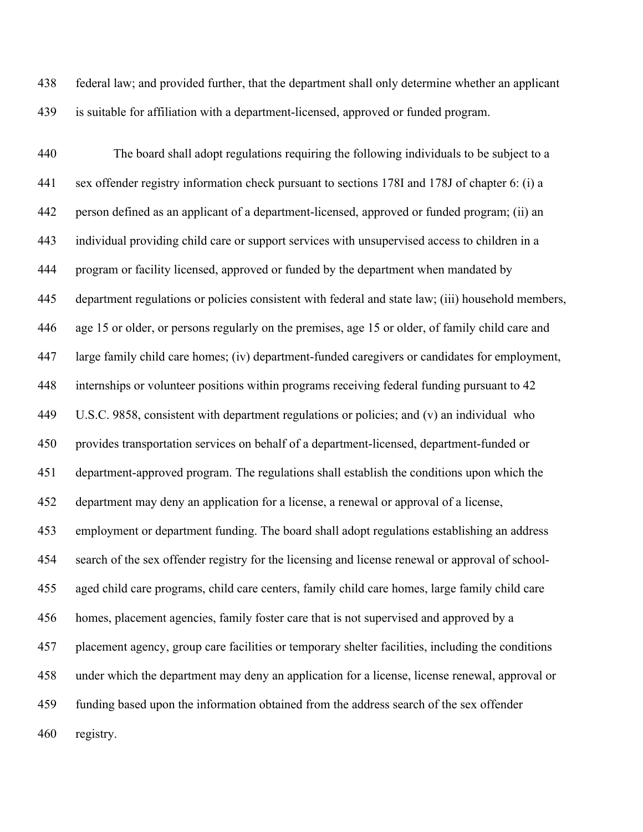federal law; and provided further, that the department shall only determine whether an applicant is suitable for affiliation with a department-licensed, approved or funded program.

 The board shall adopt regulations requiring the following individuals to be subject to a sex offender registry information check pursuant to sections 178I and 178J of chapter 6: (i) a person defined as an applicant of a department-licensed, approved or funded program; (ii) an individual providing child care or support services with unsupervised access to children in a program or facility licensed, approved or funded by the department when mandated by department regulations or policies consistent with federal and state law; (iii) household members, age 15 or older, or persons regularly on the premises, age 15 or older, of family child care and large family child care homes; (iv) department-funded caregivers or candidates for employment, internships or volunteer positions within programs receiving federal funding pursuant to 42 U.S.C. 9858, consistent with department regulations or policies; and (v) an individual who provides transportation services on behalf of a department-licensed, department-funded or department-approved program. The regulations shall establish the conditions upon which the department may deny an application for a license, a renewal or approval of a license, employment or department funding. The board shall adopt regulations establishing an address search of the sex offender registry for the licensing and license renewal or approval of school- aged child care programs, child care centers, family child care homes, large family child care homes, placement agencies, family foster care that is not supervised and approved by a placement agency, group care facilities or temporary shelter facilities, including the conditions under which the department may deny an application for a license, license renewal, approval or funding based upon the information obtained from the address search of the sex offender registry.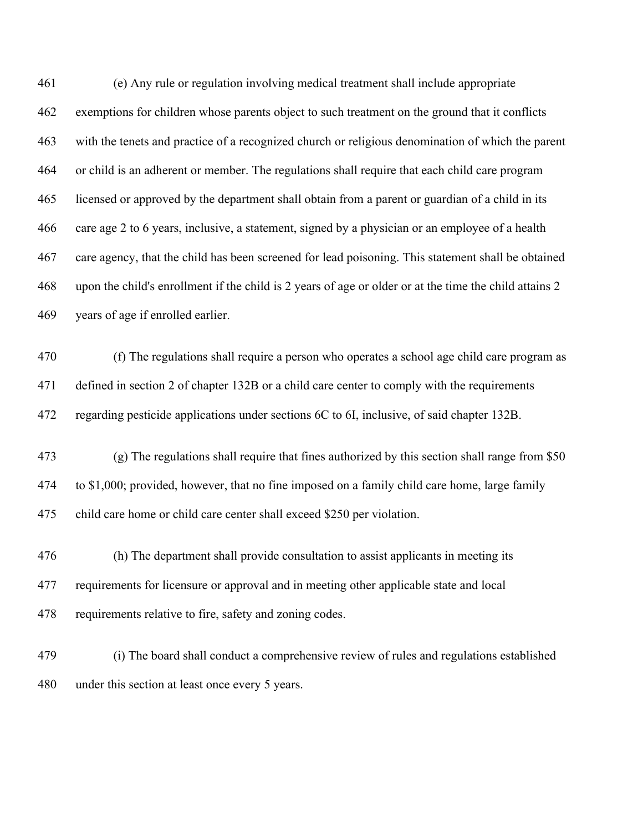(e) Any rule or regulation involving medical treatment shall include appropriate exemptions for children whose parents object to such treatment on the ground that it conflicts with the tenets and practice of a recognized church or religious denomination of which the parent or child is an adherent or member. The regulations shall require that each child care program licensed or approved by the department shall obtain from a parent or guardian of a child in its care age 2 to 6 years, inclusive, a statement, signed by a physician or an employee of a health care agency, that the child has been screened for lead poisoning. This statement shall be obtained upon the child's enrollment if the child is 2 years of age or older or at the time the child attains 2 years of age if enrolled earlier.

 (f) The regulations shall require a person who operates a school age child care program as defined in section 2 of chapter 132B or a child care center to comply with the requirements regarding pesticide applications under sections 6C to 6I, inclusive, of said chapter 132B.

- (g) The regulations shall require that fines authorized by this section shall range from \$50 to \$1,000; provided, however, that no fine imposed on a family child care home, large family child care home or child care center shall exceed \$250 per violation.
- (h) The department shall provide consultation to assist applicants in meeting its requirements for licensure or approval and in meeting other applicable state and local requirements relative to fire, safety and zoning codes.
- (i) The board shall conduct a comprehensive review of rules and regulations established under this section at least once every 5 years.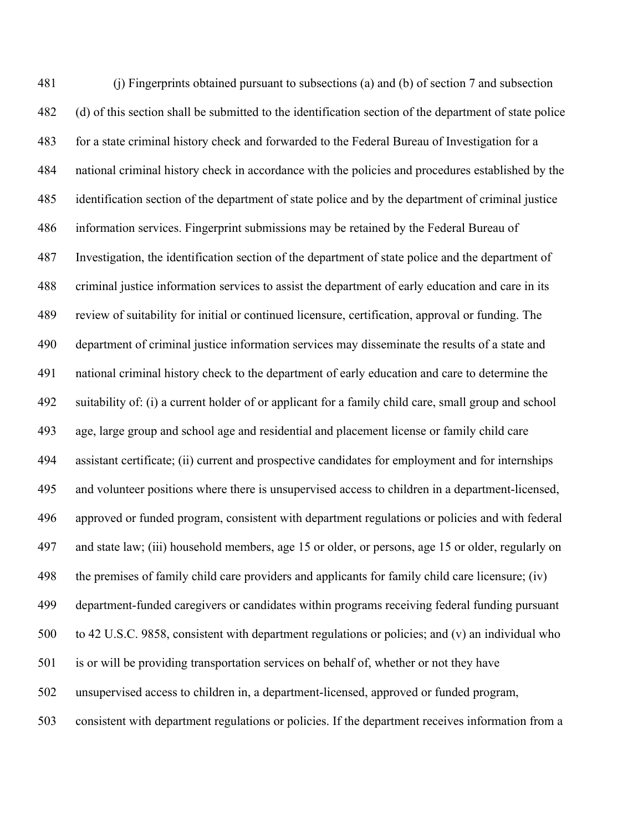(j) Fingerprints obtained pursuant to subsections (a) and (b) of section 7 and subsection (d) of this section shall be submitted to the identification section of the department of state police for a state criminal history check and forwarded to the Federal Bureau of Investigation for a national criminal history check in accordance with the policies and procedures established by the identification section of the department of state police and by the department of criminal justice information services. Fingerprint submissions may be retained by the Federal Bureau of Investigation, the identification section of the department of state police and the department of criminal justice information services to assist the department of early education and care in its review of suitability for initial or continued licensure, certification, approval or funding. The department of criminal justice information services may disseminate the results of a state and national criminal history check to the department of early education and care to determine the suitability of: (i) a current holder of or applicant for a family child care, small group and school age, large group and school age and residential and placement license or family child care assistant certificate; (ii) current and prospective candidates for employment and for internships and volunteer positions where there is unsupervised access to children in a department-licensed, approved or funded program, consistent with department regulations or policies and with federal and state law; (iii) household members, age 15 or older, or persons, age 15 or older, regularly on the premises of family child care providers and applicants for family child care licensure; (iv) department-funded caregivers or candidates within programs receiving federal funding pursuant to 42 U.S.C. 9858, consistent with department regulations or policies; and (v) an individual who is or will be providing transportation services on behalf of, whether or not they have unsupervised access to children in, a department-licensed, approved or funded program, consistent with department regulations or policies. If the department receives information from a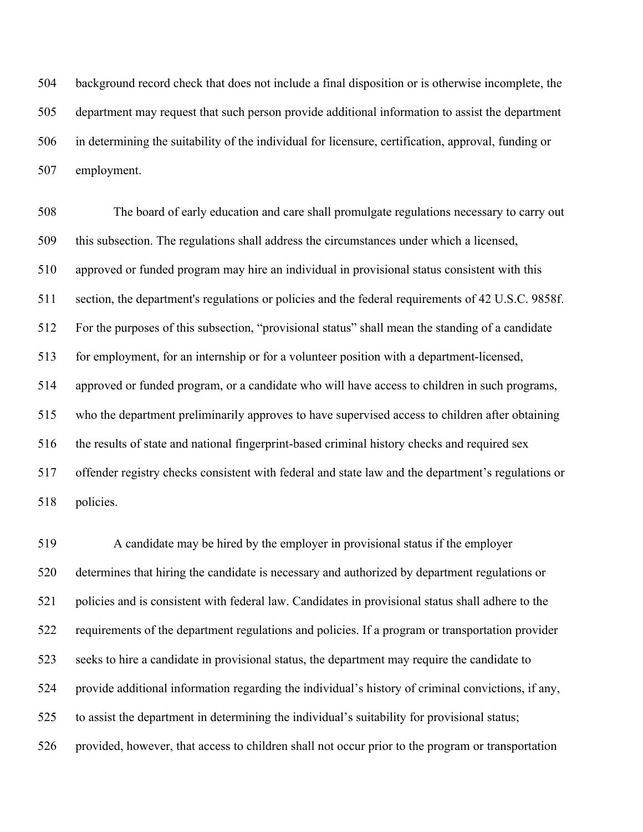background record check that does not include a final disposition or is otherwise incomplete, the department may request that such person provide additional information to assist the department in determining the suitability of the individual for licensure, certification, approval, funding or employment.

 The board of early education and care shall promulgate regulations necessary to carry out this subsection. The regulations shall address the circumstances under which a licensed, approved or funded program may hire an individual in provisional status consistent with this section, the department's regulations or policies and the federal requirements of 42 U.S.C. 9858f. For the purposes of this subsection, "provisional status" shall mean the standing of a candidate for employment, for an internship or for a volunteer position with a department-licensed, approved or funded program, or a candidate who will have access to children in such programs, who the department preliminarily approves to have supervised access to children after obtaining the results of state and national fingerprint-based criminal history checks and required sex offender registry checks consistent with federal and state law and the department's regulations or policies.

 A candidate may be hired by the employer in provisional status if the employer determines that hiring the candidate is necessary and authorized by department regulations or policies and is consistent with federal law. Candidates in provisional status shall adhere to the requirements of the department regulations and policies. If a program or transportation provider seeks to hire a candidate in provisional status, the department may require the candidate to provide additional information regarding the individual's history of criminal convictions, if any, to assist the department in determining the individual's suitability for provisional status; provided, however, that access to children shall not occur prior to the program or transportation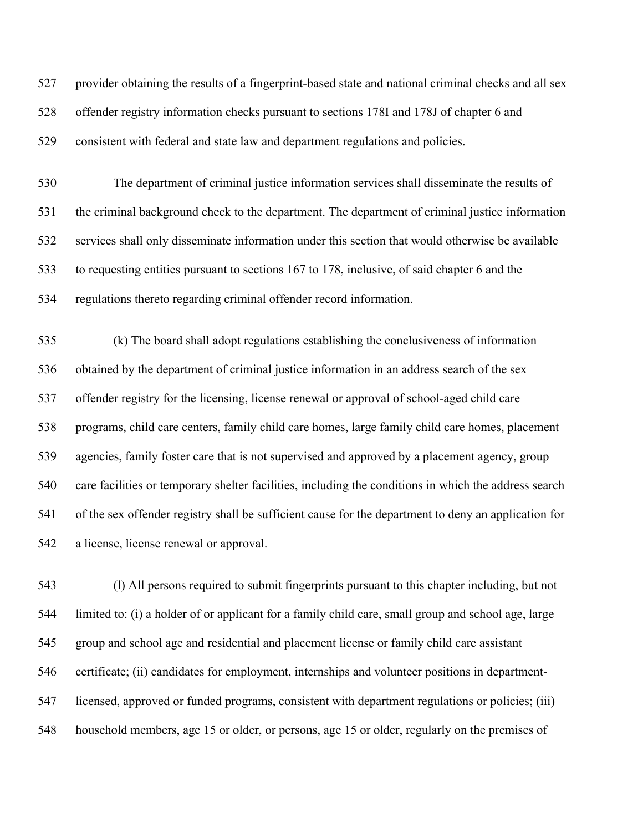provider obtaining the results of a fingerprint-based state and national criminal checks and all sex offender registry information checks pursuant to sections 178I and 178J of chapter 6 and consistent with federal and state law and department regulations and policies. The department of criminal justice information services shall disseminate the results of the criminal background check to the department. The department of criminal justice information

 services shall only disseminate information under this section that would otherwise be available to requesting entities pursuant to sections 167 to 178, inclusive, of said chapter 6 and the

regulations thereto regarding criminal offender record information.

 (k) The board shall adopt regulations establishing the conclusiveness of information obtained by the department of criminal justice information in an address search of the sex offender registry for the licensing, license renewal or approval of school-aged child care programs, child care centers, family child care homes, large family child care homes, placement agencies, family foster care that is not supervised and approved by a placement agency, group care facilities or temporary shelter facilities, including the conditions in which the address search of the sex offender registry shall be sufficient cause for the department to deny an application for a license, license renewal or approval.

 (l) All persons required to submit fingerprints pursuant to this chapter including, but not limited to: (i) a holder of or applicant for a family child care, small group and school age, large group and school age and residential and placement license or family child care assistant certificate; (ii) candidates for employment, internships and volunteer positions in department- licensed, approved or funded programs, consistent with department regulations or policies; (iii) household members, age 15 or older, or persons, age 15 or older, regularly on the premises of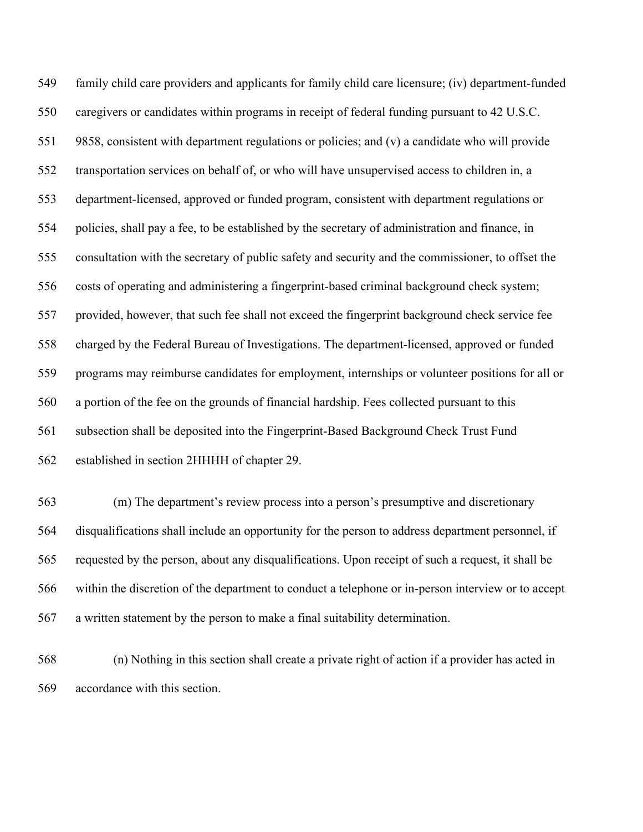family child care providers and applicants for family child care licensure; (iv) department-funded caregivers or candidates within programs in receipt of federal funding pursuant to 42 U.S.C. 9858, consistent with department regulations or policies; and (v) a candidate who will provide transportation services on behalf of, or who will have unsupervised access to children in, a department-licensed, approved or funded program, consistent with department regulations or policies, shall pay a fee, to be established by the secretary of administration and finance, in consultation with the secretary of public safety and security and the commissioner, to offset the costs of operating and administering a fingerprint-based criminal background check system; provided, however, that such fee shall not exceed the fingerprint background check service fee charged by the Federal Bureau of Investigations. The department-licensed, approved or funded programs may reimburse candidates for employment, internships or volunteer positions for all or a portion of the fee on the grounds of financial hardship. Fees collected pursuant to this subsection shall be deposited into the Fingerprint-Based Background Check Trust Fund established in section 2HHHH of chapter 29.

 (m) The department's review process into a person's presumptive and discretionary disqualifications shall include an opportunity for the person to address department personnel, if requested by the person, about any disqualifications. Upon receipt of such a request, it shall be within the discretion of the department to conduct a telephone or in-person interview or to accept a written statement by the person to make a final suitability determination.

 (n) Nothing in this section shall create a private right of action if a provider has acted in accordance with this section.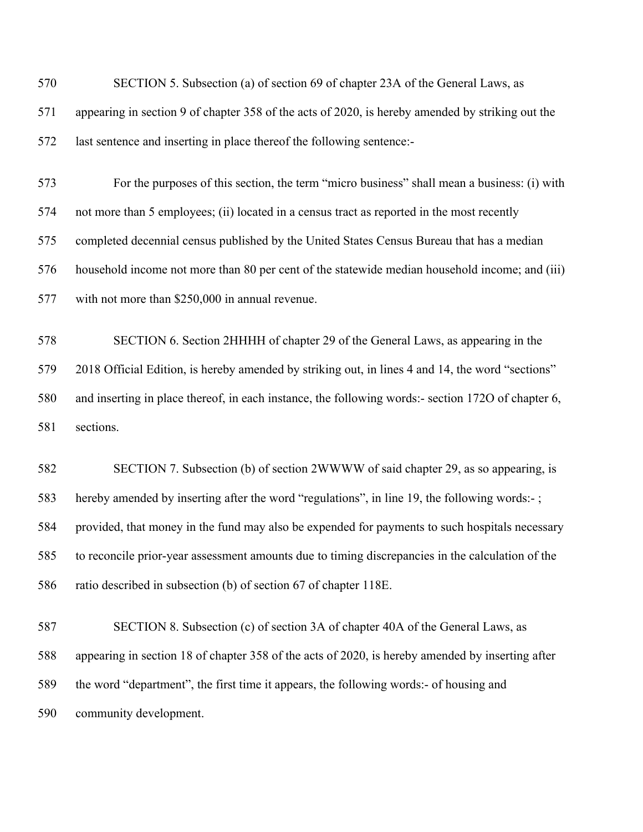| 570 | SECTION 5. Subsection (a) of section 69 of chapter 23A of the General Laws, as                     |
|-----|----------------------------------------------------------------------------------------------------|
| 571 | appearing in section 9 of chapter 358 of the acts of 2020, is hereby amended by striking out the   |
| 572 | last sentence and inserting in place thereof the following sentence:-                              |
| 573 | For the purposes of this section, the term "micro business" shall mean a business: (i) with        |
| 574 | not more than 5 employees; (ii) located in a census tract as reported in the most recently         |
| 575 | completed decennial census published by the United States Census Bureau that has a median          |
| 576 | household income not more than 80 per cent of the statewide median household income; and (iii)     |
| 577 | with not more than \$250,000 in annual revenue.                                                    |
| 578 | SECTION 6. Section 2HHHH of chapter 29 of the General Laws, as appearing in the                    |
| 579 | 2018 Official Edition, is hereby amended by striking out, in lines 4 and 14, the word "sections"   |
| 580 | and inserting in place thereof, in each instance, the following words:- section 1720 of chapter 6, |
| 581 | sections.                                                                                          |
| 582 | SECTION 7. Subsection (b) of section 2WWWW of said chapter 29, as so appearing, is                 |
| 583 | hereby amended by inserting after the word "regulations", in line 19, the following words:-;       |
| 584 | provided, that money in the fund may also be expended for payments to such hospitals necessary     |
| 585 | to reconcile prior-year assessment amounts due to timing discrepancies in the calculation of the   |
| 586 | ratio described in subsection (b) of section 67 of chapter 118E.                                   |
| 587 | SECTION 8. Subsection (c) of section 3A of chapter 40A of the General Laws, as                     |
| 588 | appearing in section 18 of chapter 358 of the acts of 2020, is hereby amended by inserting after   |
| 589 | the word "department", the first time it appears, the following words:- of housing and             |
| 590 | community development.                                                                             |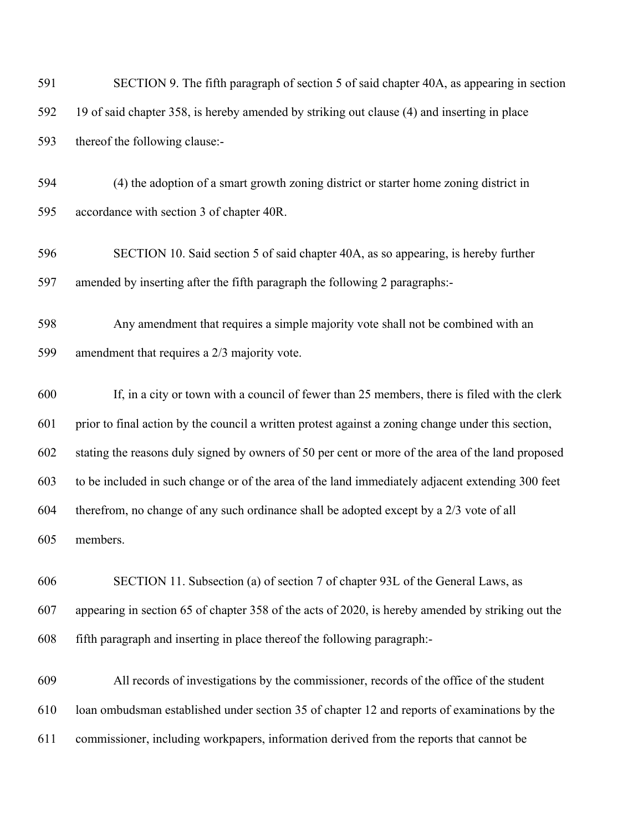| 591 | SECTION 9. The fifth paragraph of section 5 of said chapter 40A, as appearing in section           |
|-----|----------------------------------------------------------------------------------------------------|
| 592 | 19 of said chapter 358, is hereby amended by striking out clause (4) and inserting in place        |
| 593 | thereof the following clause:-                                                                     |
| 594 | (4) the adoption of a smart growth zoning district or starter home zoning district in              |
| 595 | accordance with section 3 of chapter 40R.                                                          |
| 596 | SECTION 10. Said section 5 of said chapter 40A, as so appearing, is hereby further                 |
| 597 | amended by inserting after the fifth paragraph the following 2 paragraphs:-                        |
| 598 | Any amendment that requires a simple majority vote shall not be combined with an                   |
| 599 | amendment that requires a 2/3 majority vote.                                                       |
| 600 | If, in a city or town with a council of fewer than 25 members, there is filed with the clerk       |
| 601 | prior to final action by the council a written protest against a zoning change under this section, |
| 602 | stating the reasons duly signed by owners of 50 per cent or more of the area of the land proposed  |
| 603 | to be included in such change or of the area of the land immediately adjacent extending 300 feet   |
| 604 | therefrom, no change of any such ordinance shall be adopted except by a 2/3 vote of all            |
| 605 | members.                                                                                           |
| 606 | SECTION 11. Subsection (a) of section 7 of chapter 93L of the General Laws, as                     |
| 607 | appearing in section 65 of chapter 358 of the acts of 2020, is hereby amended by striking out the  |
| 608 | fifth paragraph and inserting in place thereof the following paragraph:-                           |
| 609 | All records of investigations by the commissioner, records of the office of the student            |

loan ombudsman established under section 35 of chapter 12 and reports of examinations by the

commissioner, including workpapers, information derived from the reports that cannot be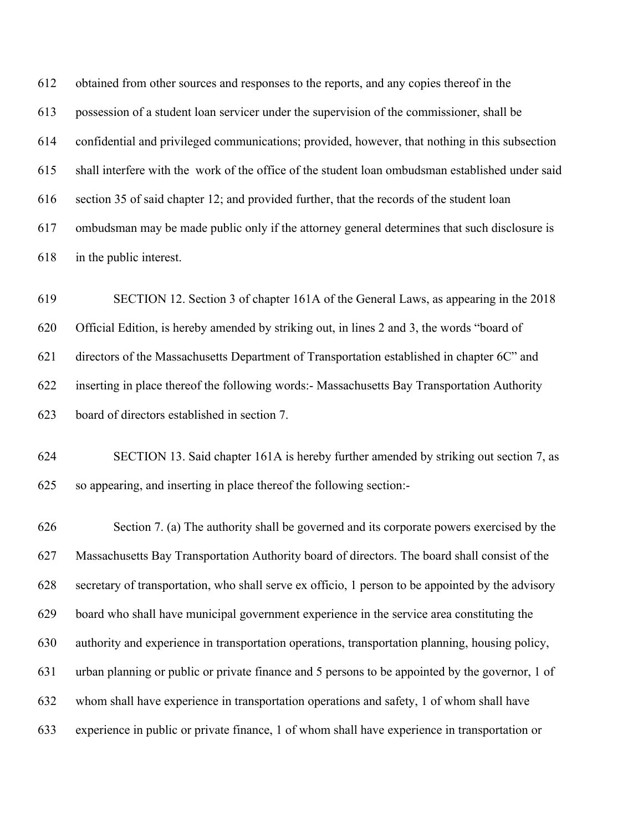obtained from other sources and responses to the reports, and any copies thereof in the possession of a student loan servicer under the supervision of the commissioner, shall be confidential and privileged communications; provided, however, that nothing in this subsection shall interfere with the work of the office of the student loan ombudsman established under said section 35 of said chapter 12; and provided further, that the records of the student loan ombudsman may be made public only if the attorney general determines that such disclosure is in the public interest.

 SECTION 12. Section 3 of chapter 161A of the General Laws, as appearing in the 2018 Official Edition, is hereby amended by striking out, in lines 2 and 3, the words "board of directors of the Massachusetts Department of Transportation established in chapter 6C" and inserting in place thereof the following words:- Massachusetts Bay Transportation Authority board of directors established in section 7.

 SECTION 13. Said chapter 161A is hereby further amended by striking out section 7, as so appearing, and inserting in place thereof the following section:-

 Section 7. (a) The authority shall be governed and its corporate powers exercised by the Massachusetts Bay Transportation Authority board of directors. The board shall consist of the secretary of transportation, who shall serve ex officio, 1 person to be appointed by the advisory board who shall have municipal government experience in the service area constituting the authority and experience in transportation operations, transportation planning, housing policy, urban planning or public or private finance and 5 persons to be appointed by the governor, 1 of whom shall have experience in transportation operations and safety, 1 of whom shall have experience in public or private finance, 1 of whom shall have experience in transportation or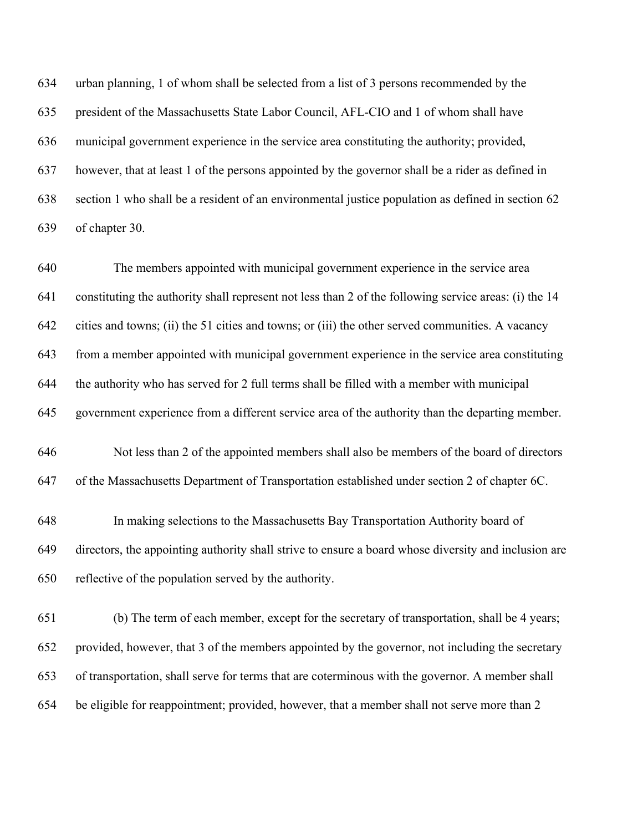urban planning, 1 of whom shall be selected from a list of 3 persons recommended by the president of the Massachusetts State Labor Council, AFL-CIO and 1 of whom shall have municipal government experience in the service area constituting the authority; provided, however, that at least 1 of the persons appointed by the governor shall be a rider as defined in section 1 who shall be a resident of an environmental justice population as defined in section 62 of chapter 30.

 The members appointed with municipal government experience in the service area constituting the authority shall represent not less than 2 of the following service areas: (i) the 14 cities and towns; (ii) the 51 cities and towns; or (iii) the other served communities. A vacancy from a member appointed with municipal government experience in the service area constituting the authority who has served for 2 full terms shall be filled with a member with municipal government experience from a different service area of the authority than the departing member. Not less than 2 of the appointed members shall also be members of the board of directors of the Massachusetts Department of Transportation established under section 2 of chapter 6C. In making selections to the Massachusetts Bay Transportation Authority board of directors, the appointing authority shall strive to ensure a board whose diversity and inclusion are reflective of the population served by the authority.

 (b) The term of each member, except for the secretary of transportation, shall be 4 years; provided, however, that 3 of the members appointed by the governor, not including the secretary of transportation, shall serve for terms that are coterminous with the governor. A member shall be eligible for reappointment; provided, however, that a member shall not serve more than 2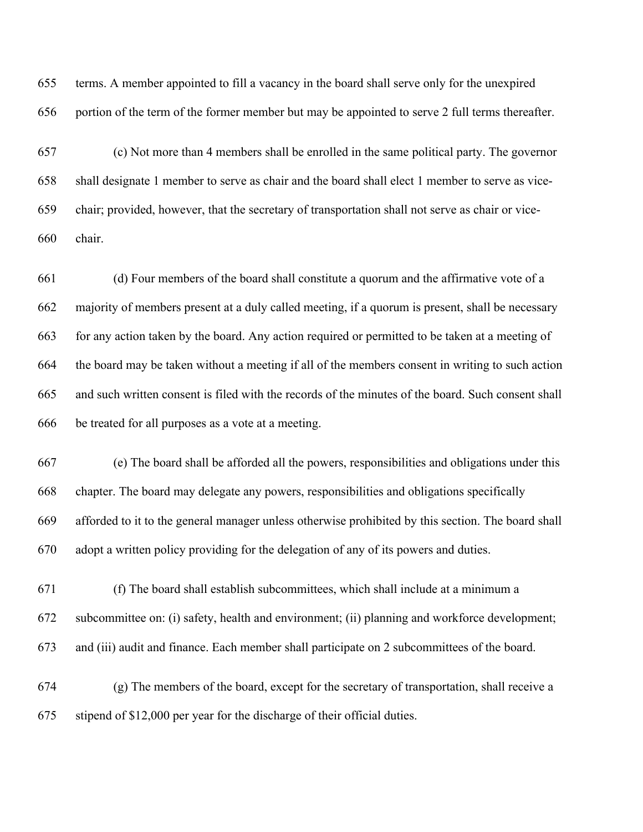terms. A member appointed to fill a vacancy in the board shall serve only for the unexpired portion of the term of the former member but may be appointed to serve 2 full terms thereafter.

 (c) Not more than 4 members shall be enrolled in the same political party. The governor shall designate 1 member to serve as chair and the board shall elect 1 member to serve as vice- chair; provided, however, that the secretary of transportation shall not serve as chair or vice-chair.

 (d) Four members of the board shall constitute a quorum and the affirmative vote of a majority of members present at a duly called meeting, if a quorum is present, shall be necessary for any action taken by the board. Any action required or permitted to be taken at a meeting of the board may be taken without a meeting if all of the members consent in writing to such action and such written consent is filed with the records of the minutes of the board. Such consent shall be treated for all purposes as a vote at a meeting.

 (e) The board shall be afforded all the powers, responsibilities and obligations under this chapter. The board may delegate any powers, responsibilities and obligations specifically afforded to it to the general manager unless otherwise prohibited by this section. The board shall adopt a written policy providing for the delegation of any of its powers and duties.

 (f) The board shall establish subcommittees, which shall include at a minimum a subcommittee on: (i) safety, health and environment; (ii) planning and workforce development; and (iii) audit and finance. Each member shall participate on 2 subcommittees of the board.

 (g) The members of the board, except for the secretary of transportation, shall receive a stipend of \$12,000 per year for the discharge of their official duties.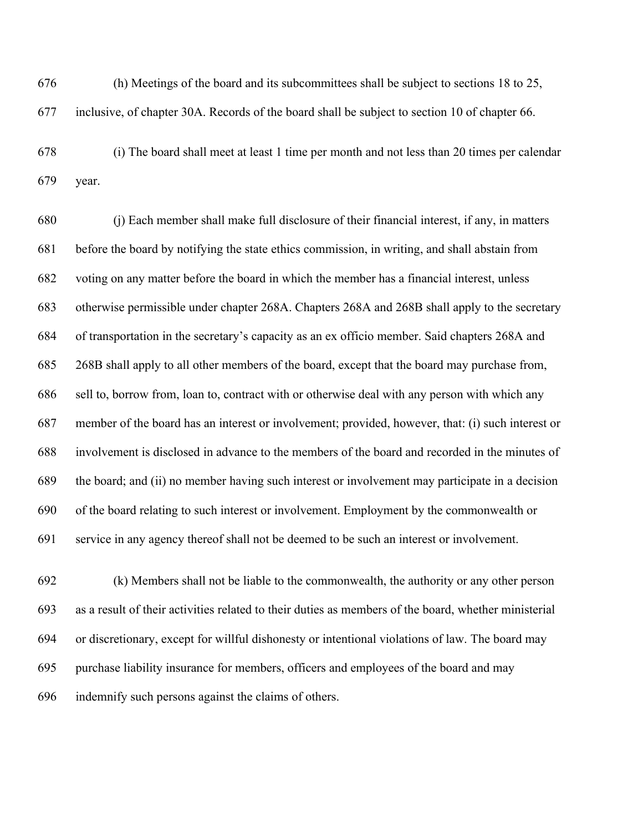(h) Meetings of the board and its subcommittees shall be subject to sections 18 to 25, inclusive, of chapter 30A. Records of the board shall be subject to section 10 of chapter 66.

 (i) The board shall meet at least 1 time per month and not less than 20 times per calendar year.

 (j) Each member shall make full disclosure of their financial interest, if any, in matters before the board by notifying the state ethics commission, in writing, and shall abstain from voting on any matter before the board in which the member has a financial interest, unless otherwise permissible under chapter 268A. Chapters 268A and 268B shall apply to the secretary of transportation in the secretary's capacity as an ex officio member. Said chapters 268A and 268B shall apply to all other members of the board, except that the board may purchase from, sell to, borrow from, loan to, contract with or otherwise deal with any person with which any member of the board has an interest or involvement; provided, however, that: (i) such interest or involvement is disclosed in advance to the members of the board and recorded in the minutes of the board; and (ii) no member having such interest or involvement may participate in a decision of the board relating to such interest or involvement. Employment by the commonwealth or service in any agency thereof shall not be deemed to be such an interest or involvement.

 (k) Members shall not be liable to the commonwealth, the authority or any other person as a result of their activities related to their duties as members of the board, whether ministerial or discretionary, except for willful dishonesty or intentional violations of law. The board may purchase liability insurance for members, officers and employees of the board and may indemnify such persons against the claims of others.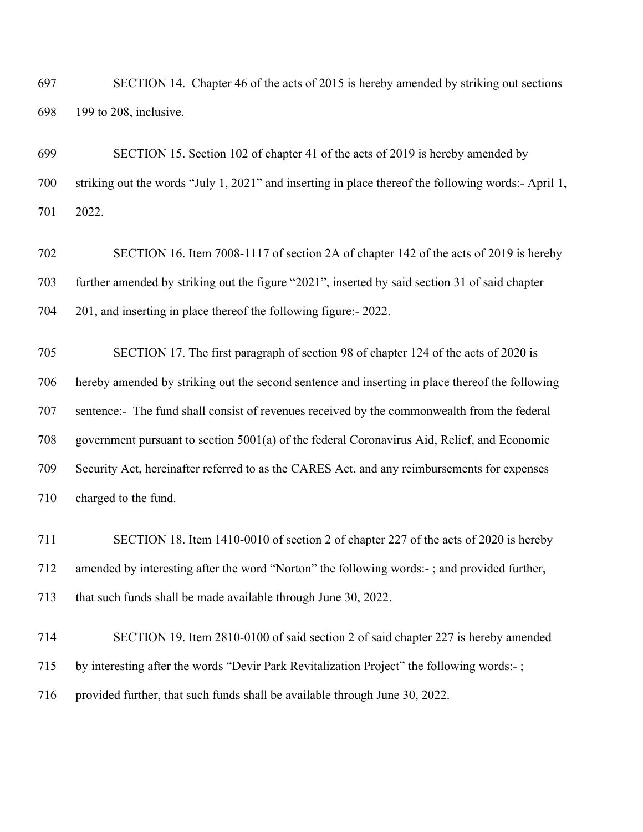SECTION 14. Chapter 46 of the acts of 2015 is hereby amended by striking out sections 199 to 208, inclusive.

 SECTION 15. Section 102 of chapter 41 of the acts of 2019 is hereby amended by striking out the words "July 1, 2021" and inserting in place thereof the following words:- April 1, 2022.

 SECTION 16. Item 7008-1117 of section 2A of chapter 142 of the acts of 2019 is hereby further amended by striking out the figure "2021", inserted by said section 31 of said chapter 201, and inserting in place thereof the following figure:- 2022.

 SECTION 17. The first paragraph of section 98 of chapter 124 of the acts of 2020 is hereby amended by striking out the second sentence and inserting in place thereof the following sentence:- The fund shall consist of revenues received by the commonwealth from the federal government pursuant to section 5001(a) of the federal Coronavirus Aid, Relief, and Economic Security Act, hereinafter referred to as the CARES Act, and any reimbursements for expenses charged to the fund.

 SECTION 18. Item 1410-0010 of section 2 of chapter 227 of the acts of 2020 is hereby amended by interesting after the word "Norton" the following words:- ; and provided further, that such funds shall be made available through June 30, 2022.

 SECTION 19. Item 2810-0100 of said section 2 of said chapter 227 is hereby amended by interesting after the words "Devir Park Revitalization Project" the following words:- ; provided further, that such funds shall be available through June 30, 2022.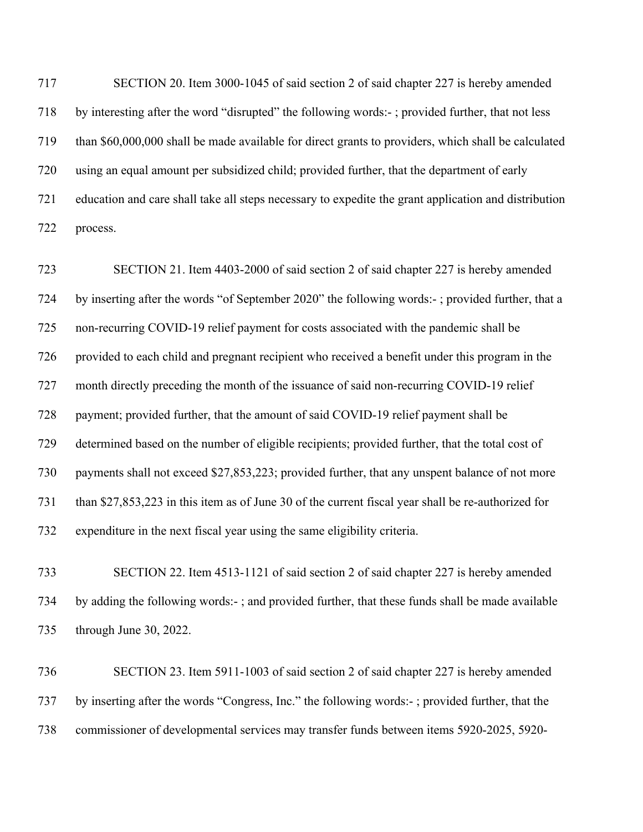SECTION 20. Item 3000-1045 of said section 2 of said chapter 227 is hereby amended by interesting after the word "disrupted" the following words:- ; provided further, that not less than \$60,000,000 shall be made available for direct grants to providers, which shall be calculated using an equal amount per subsidized child; provided further, that the department of early education and care shall take all steps necessary to expedite the grant application and distribution process.

 SECTION 21. Item 4403-2000 of said section 2 of said chapter 227 is hereby amended by inserting after the words "of September 2020" the following words:- ; provided further, that a non-recurring COVID-19 relief payment for costs associated with the pandemic shall be provided to each child and pregnant recipient who received a benefit under this program in the month directly preceding the month of the issuance of said non-recurring COVID-19 relief payment; provided further, that the amount of said COVID-19 relief payment shall be determined based on the number of eligible recipients; provided further, that the total cost of payments shall not exceed \$27,853,223; provided further, that any unspent balance of not more than \$27,853,223 in this item as of June 30 of the current fiscal year shall be re-authorized for expenditure in the next fiscal year using the same eligibility criteria.

 SECTION 22. Item 4513-1121 of said section 2 of said chapter 227 is hereby amended by adding the following words:- ; and provided further, that these funds shall be made available through June 30, 2022.

 SECTION 23. Item 5911-1003 of said section 2 of said chapter 227 is hereby amended by inserting after the words "Congress, Inc." the following words:- ; provided further, that the commissioner of developmental services may transfer funds between items 5920-2025, 5920-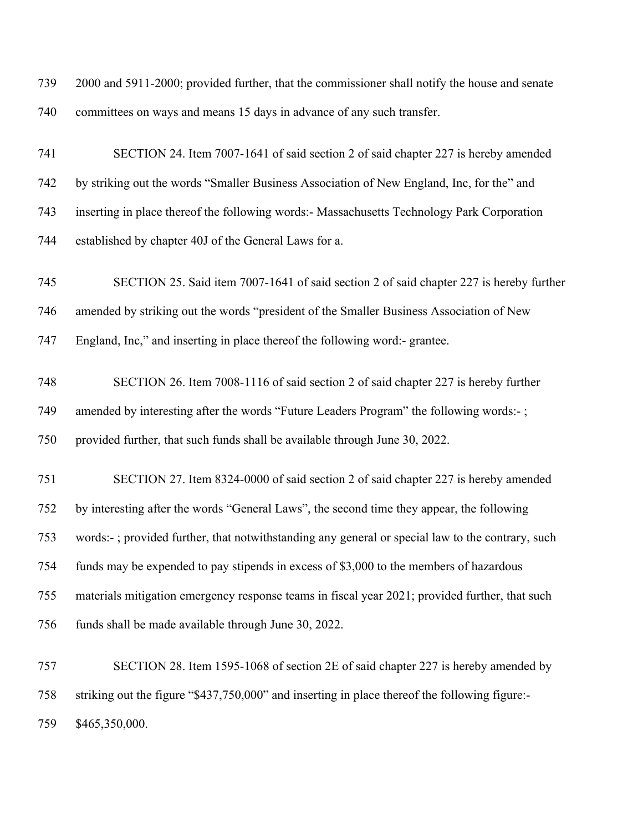| 739 | 2000 and 5911-2000; provided further, that the commissioner shall notify the house and senate    |
|-----|--------------------------------------------------------------------------------------------------|
| 740 | committees on ways and means 15 days in advance of any such transfer.                            |
| 741 | SECTION 24. Item 7007-1641 of said section 2 of said chapter 227 is hereby amended               |
| 742 | by striking out the words "Smaller Business Association of New England, Inc, for the" and        |
| 743 | inserting in place thereof the following words:- Massachusetts Technology Park Corporation       |
| 744 | established by chapter 40J of the General Laws for a.                                            |
| 745 | SECTION 25. Said item 7007-1641 of said section 2 of said chapter 227 is hereby further          |
| 746 | amended by striking out the words "president of the Smaller Business Association of New          |
| 747 | England, Inc," and inserting in place thereof the following word:- grantee.                      |
| 748 | SECTION 26. Item 7008-1116 of said section 2 of said chapter 227 is hereby further               |
| 749 | amended by interesting after the words "Future Leaders Program" the following words:-;           |
| 750 | provided further, that such funds shall be available through June 30, 2022.                      |
| 751 | SECTION 27. Item 8324-0000 of said section 2 of said chapter 227 is hereby amended               |
| 752 | by interesting after the words "General Laws", the second time they appear, the following        |
| 753 | words:-; provided further, that notwithstanding any general or special law to the contrary, such |
| 754 | funds may be expended to pay stipends in excess of \$3,000 to the members of hazardous           |
| 755 | materials mitigation emergency response teams in fiscal year 2021; provided further, that such   |
| 756 | funds shall be made available through June 30, 2022.                                             |
| 757 | SECTION 28. Item 1595-1068 of section 2E of said chapter 227 is hereby amended by                |
| 758 | striking out the figure "\$437,750,000" and inserting in place thereof the following figure:-    |
| 759 | \$465,350,000.                                                                                   |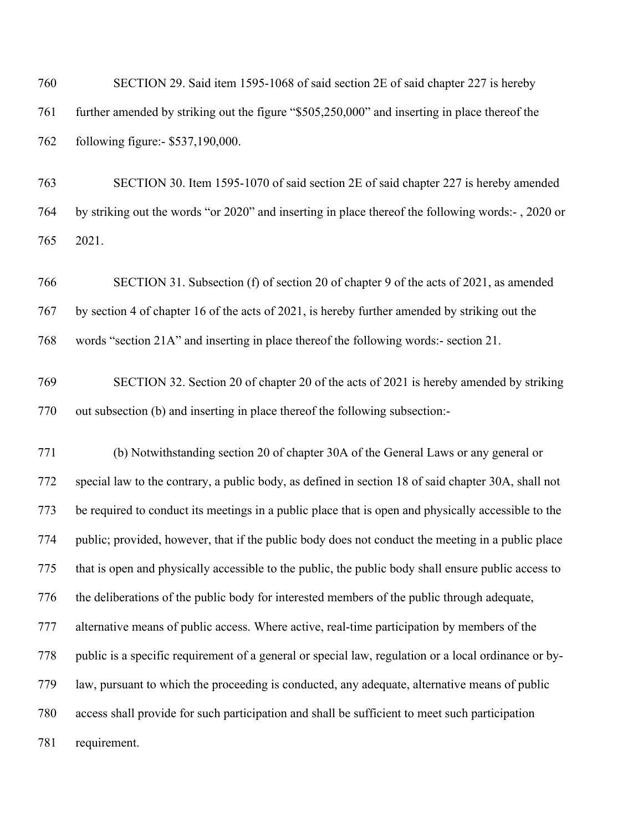SECTION 29. Said item 1595-1068 of said section 2E of said chapter 227 is hereby further amended by striking out the figure "\$505,250,000" and inserting in place thereof the following figure:- \$537,190,000.

 SECTION 30. Item 1595-1070 of said section 2E of said chapter 227 is hereby amended by striking out the words "or 2020" and inserting in place thereof the following words:- , 2020 or 2021.

 SECTION 31. Subsection (f) of section 20 of chapter 9 of the acts of 2021, as amended by section 4 of chapter 16 of the acts of 2021, is hereby further amended by striking out the words "section 21A" and inserting in place thereof the following words:- section 21.

 SECTION 32. Section 20 of chapter 20 of the acts of 2021 is hereby amended by striking out subsection (b) and inserting in place thereof the following subsection:-

 (b) Notwithstanding section 20 of chapter 30A of the General Laws or any general or special law to the contrary, a public body, as defined in section 18 of said chapter 30A, shall not be required to conduct its meetings in a public place that is open and physically accessible to the public; provided, however, that if the public body does not conduct the meeting in a public place that is open and physically accessible to the public, the public body shall ensure public access to the deliberations of the public body for interested members of the public through adequate, alternative means of public access. Where active, real-time participation by members of the public is a specific requirement of a general or special law, regulation or a local ordinance or by- law, pursuant to which the proceeding is conducted, any adequate, alternative means of public access shall provide for such participation and shall be sufficient to meet such participation requirement.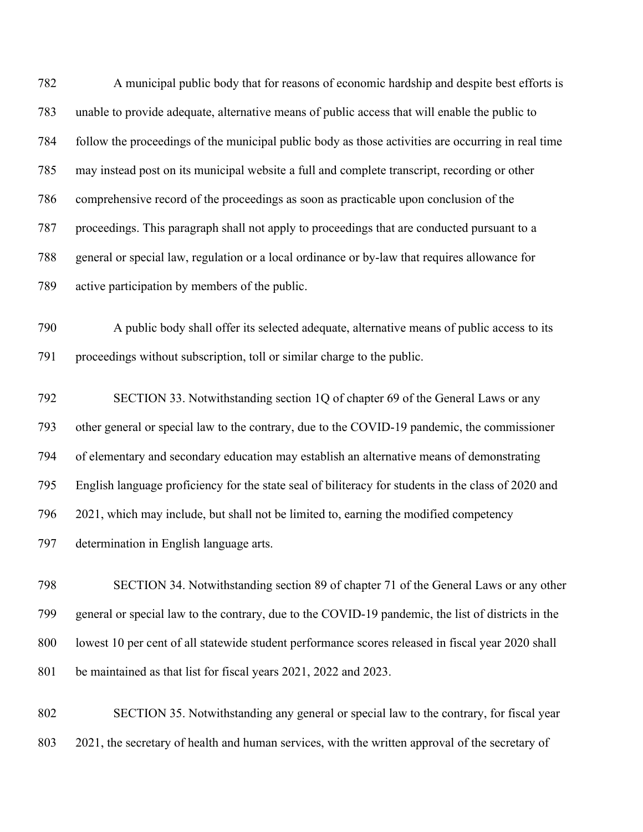A municipal public body that for reasons of economic hardship and despite best efforts is unable to provide adequate, alternative means of public access that will enable the public to follow the proceedings of the municipal public body as those activities are occurring in real time may instead post on its municipal website a full and complete transcript, recording or other comprehensive record of the proceedings as soon as practicable upon conclusion of the proceedings. This paragraph shall not apply to proceedings that are conducted pursuant to a general or special law, regulation or a local ordinance or by-law that requires allowance for active participation by members of the public.

 A public body shall offer its selected adequate, alternative means of public access to its proceedings without subscription, toll or similar charge to the public.

 SECTION 33. Notwithstanding section 1Q of chapter 69 of the General Laws or any other general or special law to the contrary, due to the COVID-19 pandemic, the commissioner of elementary and secondary education may establish an alternative means of demonstrating English language proficiency for the state seal of biliteracy for students in the class of 2020 and 2021, which may include, but shall not be limited to, earning the modified competency determination in English language arts.

 SECTION 34. Notwithstanding section 89 of chapter 71 of the General Laws or any other general or special law to the contrary, due to the COVID-19 pandemic, the list of districts in the lowest 10 per cent of all statewide student performance scores released in fiscal year 2020 shall be maintained as that list for fiscal years 2021, 2022 and 2023.

 SECTION 35. Notwithstanding any general or special law to the contrary, for fiscal year 2021, the secretary of health and human services, with the written approval of the secretary of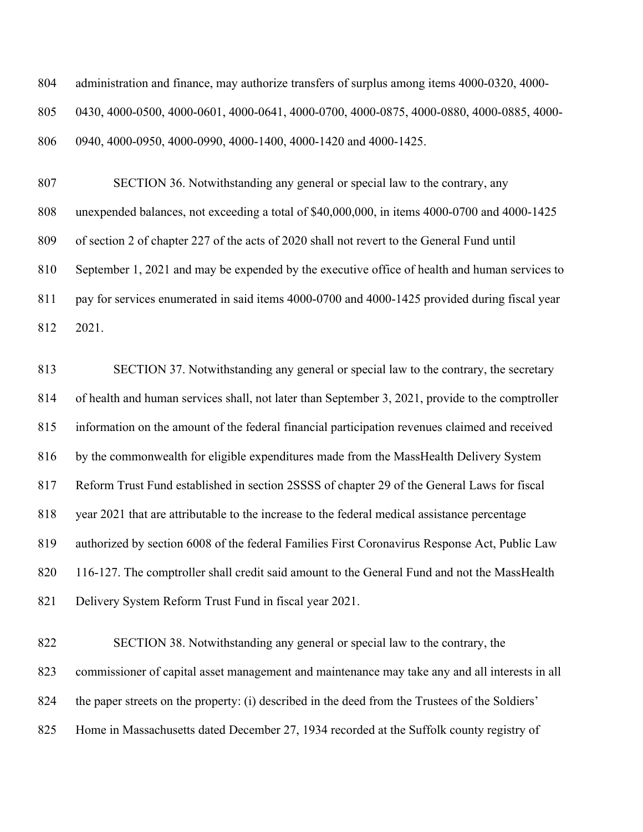| 804 | administration and finance, may authorize transfers of surplus among items 4000-0320, 4000- |
|-----|---------------------------------------------------------------------------------------------|
| 805 | 0430, 4000-0500, 4000-0601, 4000-0641, 4000-0700, 4000-0875, 4000-0880, 4000-0885, 4000-    |
| 806 | 0940, 4000-0950, 4000-0990, 4000-1400, 4000-1420 and 4000-1425.                             |

 SECTION 36. Notwithstanding any general or special law to the contrary, any unexpended balances, not exceeding a total of \$40,000,000, in items 4000-0700 and 4000-1425 of section 2 of chapter 227 of the acts of 2020 shall not revert to the General Fund until September 1, 2021 and may be expended by the executive office of health and human services to pay for services enumerated in said items 4000-0700 and 4000-1425 provided during fiscal year 2021.

 SECTION 37. Notwithstanding any general or special law to the contrary, the secretary of health and human services shall, not later than September 3, 2021, provide to the comptroller information on the amount of the federal financial participation revenues claimed and received by the commonwealth for eligible expenditures made from the MassHealth Delivery System Reform Trust Fund established in section 2SSSS of chapter 29 of the General Laws for fiscal year 2021 that are attributable to the increase to the federal medical assistance percentage authorized by section 6008 of the federal Families First Coronavirus Response Act, Public Law 820 116-127. The comptroller shall credit said amount to the General Fund and not the MassHealth Delivery System Reform Trust Fund in fiscal year 2021.

 SECTION 38. Notwithstanding any general or special law to the contrary, the commissioner of capital asset management and maintenance may take any and all interests in all the paper streets on the property: (i) described in the deed from the Trustees of the Soldiers' Home in Massachusetts dated December 27, 1934 recorded at the Suffolk county registry of